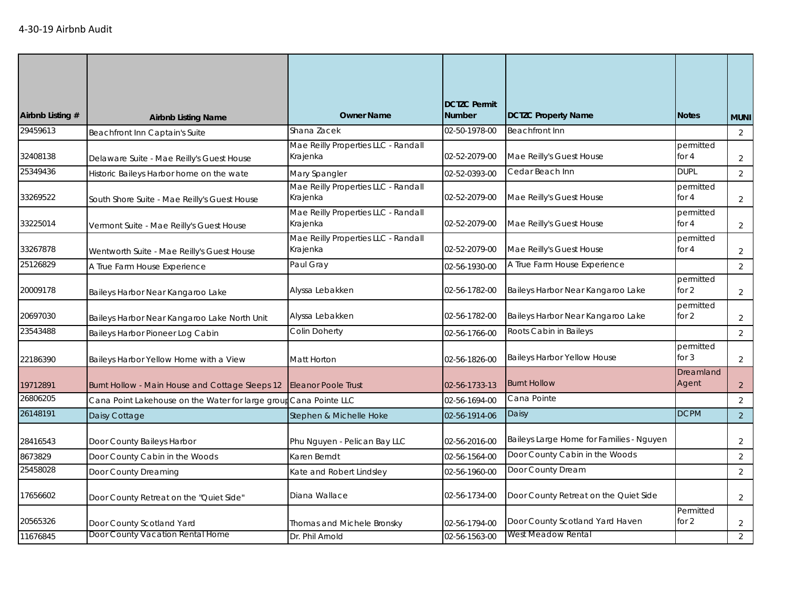| Airbnb Listing # | <b>Airbnb Listing Name</b>                                        | <b>Owner Name</b>                               | <b>DCTZC Permit</b><br><b>Number</b> | <b>DCTZC Property Name</b>               | <b>Notes</b>         | <b>MUNI</b>    |
|------------------|-------------------------------------------------------------------|-------------------------------------------------|--------------------------------------|------------------------------------------|----------------------|----------------|
| 29459613         | Beachfront Inn Captain's Suite                                    | Shana Zacek                                     | 02-50-1978-00                        | <b>Beachfront Inn</b>                    |                      | $\overline{2}$ |
| 32408138         | Delaware Suite - Mae Reilly's Guest House                         | Mae Reilly Properties LLC - Randall<br>Krajenka | 02-52-2079-00                        | Mae Reilly's Guest House                 | permitted<br>for $4$ | $\overline{2}$ |
| 25349436         | Historic Baileys Harbor home on the wate                          | Mary Spangler                                   | 02-52-0393-00                        | Cedar Beach Inn                          | <b>DUPL</b>          | 2              |
| 33269522         | South Shore Suite - Mae Reilly's Guest House                      | Mae Reilly Properties LLC - Randall<br>Krajenka | 02-52-2079-00                        | Mae Reilly's Guest House                 | permitted<br>for $4$ | $\overline{2}$ |
| 33225014         | Vermont Suite - Mae Reilly's Guest House                          | Mae Reilly Properties LLC - Randall<br>Krajenka | 02-52-2079-00                        | Mae Reilly's Guest House                 | permitted<br>for $4$ | $\overline{2}$ |
| 33267878         | Wentworth Suite - Mae Reilly's Guest House                        | Mae Reilly Properties LLC - Randall<br>Krajenka | 02-52-2079-00                        | Mae Reilly's Guest House                 | permitted<br>for $4$ | $\overline{2}$ |
| 25126829         | A True Farm House Experience                                      | Paul Gray                                       | 02-56-1930-00                        | A True Farm House Experience             |                      | $\overline{2}$ |
| 20009178         | Baileys Harbor Near Kangaroo Lake                                 | Alyssa Lebakken                                 | 02-56-1782-00                        | Baileys Harbor Near Kangaroo Lake        | permitted<br>for 2   | $\overline{2}$ |
| 20697030         | Baileys Harbor Near Kangaroo Lake North Unit                      | Alyssa Lebakken                                 | 02-56-1782-00                        | Baileys Harbor Near Kangaroo Lake        | permitted<br>for 2   | $\overline{2}$ |
| 23543488         | Baileys Harbor Pioneer Log Cabin                                  | Colin Doherty                                   | 02-56-1766-00                        | Roots Cabin in Baileys                   |                      | $\overline{2}$ |
| 22186390         | Baileys Harbor Yellow Home with a View                            | Matt Horton                                     | 02-56-1826-00                        | <b>Baileys Harbor Yellow House</b>       | permitted<br>for $3$ | $\overline{2}$ |
| 19712891         | Burnt Hollow - Main House and Cottage Sleeps 12                   | <b>Eleanor Poole Trust</b>                      | 02-56-1733-13                        | <b>Burnt Hollow</b>                      | Dreamland<br>Agent   | $\overline{2}$ |
| 26806205         | Cana Point Lakehouse on the Water for large group Cana Pointe LLC |                                                 | 02-56-1694-00                        | Cana Pointe                              |                      | $\overline{2}$ |
| 26148191         | Daisy Cottage                                                     | Stephen & Michelle Hoke                         | 02-56-1914-06                        | Daisy                                    | <b>DCPM</b>          | $\overline{2}$ |
| 28416543         | Door County Baileys Harbor                                        | Phu Nguyen - Pelican Bay LLC                    | 02-56-2016-00                        | Baileys Large Home for Families - Nguyen |                      | $\overline{2}$ |
| 8673829          | Door County Cabin in the Woods                                    | Karen Berndt                                    | 02-56-1564-00                        | Door County Cabin in the Woods           |                      | $\overline{2}$ |
| 25458028         | Door County Dreaming                                              | Kate and Robert Lindsley                        | 02-56-1960-00                        | Door County Dream                        |                      | $\overline{2}$ |
| 17656602         | Door County Retreat on the "Quiet Side"                           | Diana Wallace                                   | 02-56-1734-00                        | Door County Retreat on the Quiet Side    |                      | $\overline{2}$ |
| 20565326         | Door County Scotland Yard                                         | Thomas and Michele Bronsky                      | 02-56-1794-00                        | Door County Scotland Yard Haven          | Permitted<br>for 2   | $\overline{2}$ |
| 11676845         | Door County Vacation Rental Home                                  | Dr. Phil Arnold                                 | 02-56-1563-00                        | West Meadow Rental                       |                      | $\overline{2}$ |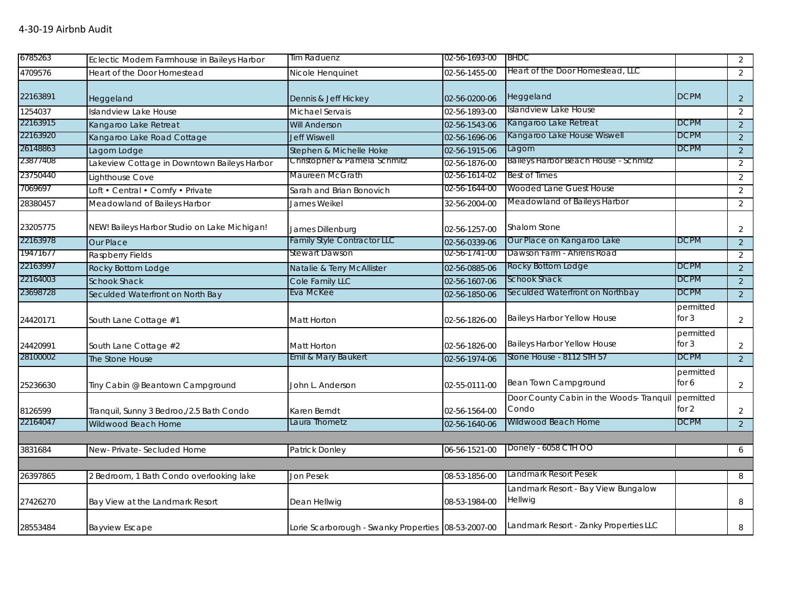| 6785263  | Eclectic Modern Farmhouse in Baileys Harbor  | Tim Raduenz                                         | 02-56-1693-00 | <b>BHDC</b>                                           |                      | $\overline{2}$ |
|----------|----------------------------------------------|-----------------------------------------------------|---------------|-------------------------------------------------------|----------------------|----------------|
| 4709576  | Heart of the Door Homestead                  | Nicole Henquinet                                    | 02-56-1455-00 | Heart of the Door Homestead, LLC                      |                      | $\overline{2}$ |
| 22163891 | Heggeland                                    | Dennis & Jeff Hickey                                | 02-56-0200-06 | Heggeland                                             | <b>DCPM</b>          | 2              |
| 1254037  | <b>Islandview Lake House</b>                 | Michael Servais                                     | 02-56-1893-00 | Islandview Lake House                                 |                      | $\overline{2}$ |
| 22163915 | Kangaroo Lake Retreat                        | <b>Will Anderson</b>                                | 02-56-1543-06 | Kangaroo Lake Retreat                                 | <b>DCPM</b>          | $\overline{2}$ |
| 22163920 | Kangaroo Lake Road Cottage                   | <b>Jeff Wiswell</b>                                 | 02-56-1696-06 | Kangaroo Lake House Wiswell                           | <b>DCPM</b>          | $\overline{2}$ |
| 26148863 | Lagom Lodge                                  | Stephen & Michelle Hoke                             | 02-56-1915-06 | Lagom                                                 | <b>DCPM</b>          | $\overline{2}$ |
| 23877408 | Lakeview Cottage in Downtown Baileys Harbor  | Christopher & Pamela Schmitz                        | 02-56-1876-00 | Baileys Harbor Beach House - Schmitz                  |                      | 2              |
| 23750440 | Lighthouse Cove                              | Maureen McGrath                                     | 02-56-1614-02 | Best of Times                                         |                      | $\overline{2}$ |
| 7069697  | Loft • Central • Comfy • Private             | Sarah and Brian Bonovich                            | 02-56-1644-00 | Wooded Lane Guest House                               |                      | $\overline{2}$ |
| 28380457 | Meadowland of Baileys Harbor                 | James Weikel                                        | 32-56-2004-00 | Meadowland of Baileys Harbor                          |                      | $\overline{2}$ |
| 23205775 | NEW! Baileys Harbor Studio on Lake Michigan! | James Dillenburg                                    | 02-56-1257-00 | Shalom Stone                                          |                      | 2              |
| 22163978 | Our Place                                    | <b>Family Style Contractor LLC</b>                  | 02-56-0339-06 | Our Place on Kangaroo Lake                            | <b>DCPM</b>          | $\overline{2}$ |
| 19471677 | Raspberry Fields                             | <b>Stewart Dawson</b>                               | 02-56-1741-00 | Dawson Farm - Ahrens Road                             |                      | 2              |
| 22163997 | Rocky Bottom Lodge                           | Natalie & Terry McAllister                          | 02-56-0885-06 | Rocky Bottom Lodge                                    | <b>DCPM</b>          | $\overline{2}$ |
| 22164003 | <b>Schook Shack</b>                          | Cole Family LLC                                     | 02-56-1607-06 | Schook Shack                                          | <b>DCPM</b>          | $\overline{2}$ |
| 23698728 | Seculded Waterfront on North Bay             | Eva McKee                                           | 02-56-1850-06 | Seculded Waterfront on Northbay                       | <b>DCPM</b>          | $\overline{2}$ |
| 24420171 | South Lane Cottage #1                        | Matt Horton                                         | 02-56-1826-00 | Baileys Harbor Yellow House                           | permitted<br>for $3$ | $\overline{2}$ |
| 24420991 | South Lane Cottage #2                        | Matt Horton                                         | 02-56-1826-00 | Baileys Harbor Yellow House                           | permitted<br>for $3$ | $\overline{2}$ |
| 28100002 | The Stone House                              | Emil & Mary Baukert                                 | 02-56-1974-06 | Stone House - 8112 STH 57                             | <b>DCPM</b>          | $\overline{2}$ |
| 25236630 | Tiny Cabin @ Beantown Campground             | John L. Anderson                                    | 02-55-0111-00 | Bean Town Campground                                  | permitted<br>for 6   | $\overline{2}$ |
| 8126599  | Tranquil, Sunny 3 Bedroo,/2.5 Bath Condo     | Karen Berndt                                        | 02-56-1564-00 | Door County Cabin in the Woods- Tranquil<br>Condo     | permitted<br>for $2$ | 2              |
| 22164047 | Wildwood Beach Home                          | Laura Thometz                                       | 02-56-1640-06 | Wildwood Beach Home                                   | <b>DCPM</b>          | 2 <sup>1</sup> |
|          |                                              |                                                     |               |                                                       |                      |                |
| 3831684  | New-Private-Secluded Home                    | Patrick Donley                                      | 06-56-1521-00 | Donely - 6058 CTH OO                                  |                      | 6              |
|          |                                              |                                                     |               | Landmark Resort Pesek                                 |                      |                |
| 26397865 | 2 Bedroom, 1 Bath Condo overlooking lake     | Jon Pesek                                           | 08-53-1856-00 |                                                       |                      | 8              |
| 27426270 | Bay View at the Landmark Resort              | Dean Hellwig                                        | 08-53-1984-00 | Landmark Resort - Bay View Bungalow<br><b>Hellwig</b> |                      | 8              |
| 28553484 | <b>Bayview Escape</b>                        | Lorie Scarborough - Swanky Properties 08-53-2007-00 |               | Landmark Resort - Zanky Properties LLC                |                      | 8              |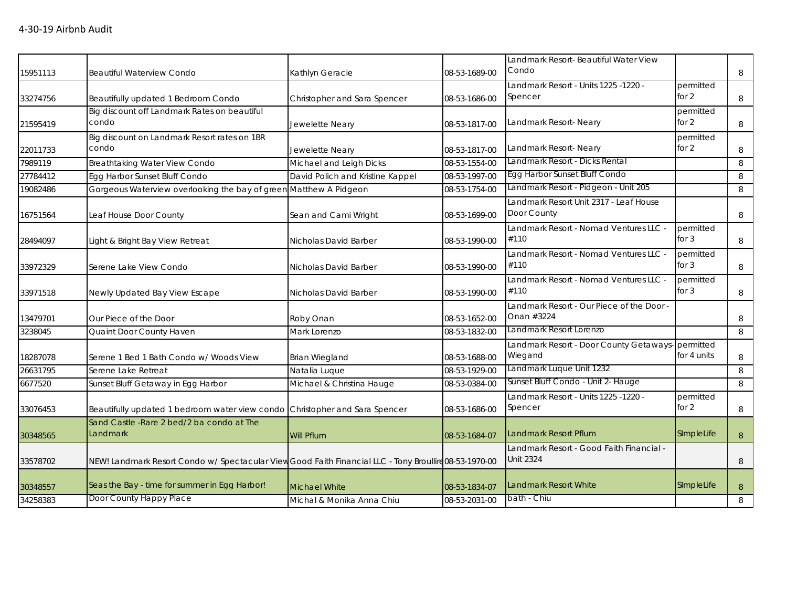|          |                                                                                                        |                                  |               | Landmark Resort- Beautiful Water View             |             |   |
|----------|--------------------------------------------------------------------------------------------------------|----------------------------------|---------------|---------------------------------------------------|-------------|---|
| 15951113 | <b>Beautiful Waterview Condo</b>                                                                       | Kathlyn Geracie                  | 08-53-1689-00 | Condo                                             |             | 8 |
|          |                                                                                                        |                                  |               | - Landmark Resort - Units 1225 -1220              | permitted   |   |
| 33274756 | Beautifully updated 1 Bedroom Condo                                                                    | Christopher and Sara Spencer     | 08-53-1686-00 | Spencer                                           | for 2       | 8 |
|          | Big discount off Landmark Rates on beautiful                                                           |                                  |               |                                                   | permitted   |   |
| 21595419 | condo                                                                                                  | Jewelette Neary                  | 08-53-1817-00 | Landmark Resort- Neary                            | for $2$     | 8 |
|          | Big discount on Landmark Resort rates on 1BR                                                           |                                  |               |                                                   | permitted   |   |
| 22011733 | condo                                                                                                  | Jewelette Neary                  | 08-53-1817-00 | Landmark Resort-Neary                             | for 2       | 8 |
| 7989119  | Breathtaking Water View Condo                                                                          | Michael and Leigh Dicks          | 08-53-1554-00 | Landmark Resort - Dicks Rental                    |             | 8 |
| 27784412 | Egg Harbor Sunset Bluff Condo                                                                          | David Polich and Kristine Kappel | 08-53-1997-00 | Egg Harbor Sunset Bluff Condo                     |             | 8 |
| 19082486 | Gorgeous Waterview overlooking the bay of greer                                                        | Matthew A Pidgeon                | 08-53-1754-00 | Landmark Resort - Pidgeon - Unit 205              |             | 8 |
|          |                                                                                                        |                                  |               | Landmark Resort Unit 2317 - Leaf House            |             |   |
| 16751564 | Leaf House Door County                                                                                 | Sean and Cami Wright             | 08-53-1699-00 | Door County                                       |             | 8 |
|          |                                                                                                        |                                  |               | Landmark Resort - Nomad Ventures LLC -            | permitted   |   |
| 28494097 | Light & Bright Bay View Retreat                                                                        | Nicholas David Barber            | 08-53-1990-00 | #110                                              | for $3$     | 8 |
|          |                                                                                                        |                                  |               | Landmark Resort - Nomad Ventures LLC              | permitted   |   |
| 33972329 | Serene Lake View Condo                                                                                 | Nicholas David Barber            | 08-53-1990-00 | #110                                              | for $3$     | 8 |
|          |                                                                                                        |                                  |               | Landmark Resort - Nomad Ventures LLC -            | permitted   |   |
| 33971518 | Newly Updated Bay View Escape                                                                          | Nicholas David Barber            | 08-53-1990-00 | #110                                              | for $3$     | 8 |
|          |                                                                                                        |                                  |               | Landmark Resort - Our Piece of the Door -         |             |   |
| 13479701 | Our Piece of the Door                                                                                  | Roby Onan                        | 08-53-1652-00 | Onan #3224                                        |             | 8 |
| 3238045  | Quaint Door County Haven                                                                               | Mark Lorenzo                     | 08-53-1832-00 | Landmark Resort Lorenzo                           |             | 8 |
|          |                                                                                                        |                                  |               | Landmark Resort - Door County Getaways- permitted |             |   |
| 18287078 | Serene 1 Bed 1 Bath Condo w/ Woods View                                                                | Brian Wiegland                   | 08-53-1688-00 | Wiegand                                           | for 4 units | 8 |
| 26631795 | Serene Lake Retreat                                                                                    | Natalia Luque                    | 08-53-1929-00 | Landmark Luque Unit 1232                          |             | 8 |
| 6677520  | Sunset Bluff Getaway in Egg Harbor                                                                     | Michael & Christina Hauge        | 08-53-0384-00 | Sunset Bluff Condo - Unit 2- Hauge                |             | 8 |
|          |                                                                                                        |                                  |               | Landmark Resort - Units 1225 -1220 -              | permitted   |   |
| 33076453 | Beautifully updated 1 bedroom water view condo                                                         | Christopher and Sara Spencer     | 08-53-1686-00 | Spencer                                           | for $2$     | 8 |
|          | Sand Castle - Rare 2 bed/2 ba condo at The                                                             |                                  |               |                                                   |             |   |
| 30348565 | Landmark                                                                                               | Will Pflum                       | 08-53-1684-07 | <b>Landmark Resort Pflum</b>                      | SImpleLife  | 8 |
|          |                                                                                                        |                                  |               | Landmark Resort - Good Faith Financial -          |             |   |
| 33578702 | NEW! Landmark Resort Condo w/ Spectacular View Good Faith Financial LLC - Tony Broullire 08-53-1970-00 |                                  |               | Unit 2324                                         |             | 8 |
|          |                                                                                                        |                                  |               |                                                   |             |   |
| 30348557 | Seas the Bay - time for summer in Egg Harbor!                                                          | <b>Michael White</b>             | 08-53-1834-07 | Landmark Resort White                             | SImpleLife  | 8 |
| 34258383 | Door County Happy Place                                                                                | Michal & Monika Anna Chiu        | 08-53-2031-00 | bath - Chiu                                       |             | 8 |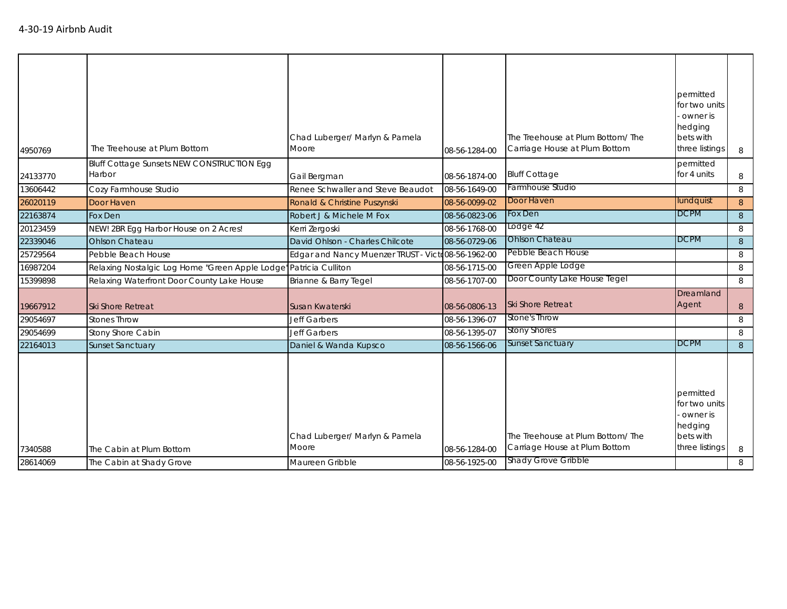|                      | The Cabin at Shady Grove                                          |                                                            |                                |                                                                                                 |                                                                                  |        |
|----------------------|-------------------------------------------------------------------|------------------------------------------------------------|--------------------------------|-------------------------------------------------------------------------------------------------|----------------------------------------------------------------------------------|--------|
| 7340588<br>28614069  | The Cabin at Plum Bottom                                          | Chad Luberger/ Marlyn & Pamela<br>Moore<br>Maureen Gribble | 08-56-1284-00<br>08-56-1925-00 | The Treehouse at Plum Bottom/The<br>Carriage House at Plum Bottom<br><b>Shady Grove Gribble</b> | permitted<br>for two units<br>owner is<br>hedging<br>bets with<br>three listings | 8<br>8 |
| 22164013             | <b>Sunset Sanctuary</b>                                           | Daniel & Wanda Kupsco                                      | 08-56-1566-06                  | <b>Sunset Sanctuary</b>                                                                         | <b>DCPM</b>                                                                      | 8      |
| 29054699             | Stony Shore Cabin                                                 | <b>Jeff Garbers</b>                                        | 08-56-1395-07                  | <b>Stony Shores</b>                                                                             |                                                                                  | 8      |
| 29054697             | <b>Stones Throw</b>                                               | Jeff Garbers                                               | 08-56-1396-07                  | Stone's Throw                                                                                   |                                                                                  | 8      |
| 19667912             | <b>Ski Shore Retreat</b>                                          | Susan Kwaterski                                            | 08-56-0806-13                  | <b>Ski Shore Retreat</b>                                                                        | Dreamland<br>Agent                                                               | 8      |
| 15399898             | Relaxing Waterfront Door County Lake House                        | Brianne & Barry Tegel                                      | 08-56-1707-00                  | Door County Lake House Tegel                                                                    |                                                                                  | 8      |
| 16987204             | Relaxing Nostalgic Log Home "Green Apple Lodge" Patricia Culliton |                                                            | 08-56-1715-00                  | Green Apple Lodge                                                                               |                                                                                  | 8      |
| 25729564             | Pebble Beach House                                                | Edgar and Nancy Muenzer TRUST - Victo08-56-1962-00         |                                | Pebble Beach House                                                                              |                                                                                  | 8      |
| 22339046             | <b>Ohlson Chateau</b>                                             | David Ohlson - Charles Chilcote                            | 08-56-0729-06                  | <b>Ohlson Chateau</b>                                                                           | <b>DCPM</b>                                                                      | 8      |
| 20123459             | NEW! 2BR Egg Harbor House on 2 Acres!                             | Kerri Zergoski                                             | 08-56-1768-00                  | Lodge 42                                                                                        |                                                                                  | 8      |
| 26020119<br>22163874 | Fox Den                                                           | Ronald & Christine Puszynski<br>Robert J & Michele M Fox   | 08-56-0823-06                  | Fox Den                                                                                         | <b>DCPM</b>                                                                      | 8      |
| 13606442             | Cozy Farmhouse Studio<br>Door Haven                               | Renee Schwaller and Steve Beaudot                          | 08-56-1649-00<br>08-56-0099-02 | Door Haven                                                                                      | lundquist                                                                        | 8<br>8 |
| 24133770             | Bluff Cottage Sunsets NEW CONSTRUCTION Egg<br>Harbor              | Gail Bergman                                               | 08-56-1874-00                  | <b>Bluff Cottage</b><br>Farmhouse Studio                                                        | permitted<br>for 4 units                                                         | 8      |
| 4950769              | The Treehouse at Plum Bottom                                      | Chad Luberger/ Marlyn & Pamela<br>Moore                    | 08-56-1284-00                  | The Treehouse at Plum Bottom/The<br>Carriage House at Plum Bottom                               | permitted<br>for two units<br>owner is<br>hedging<br>bets with<br>three listings | 8      |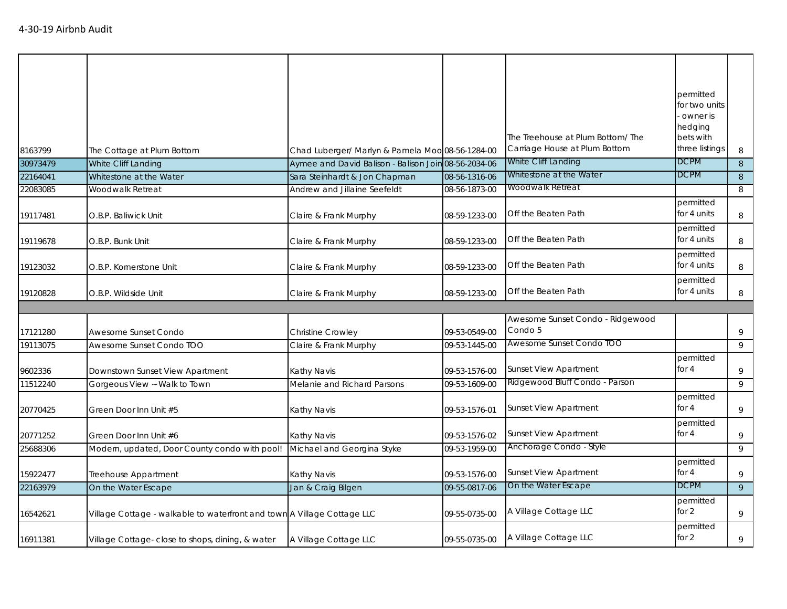| 8163799  | The Cottage at Plum Bottom                                              | Chad Luberger/ Marlyn & Pamela Moo 08-56-1284-00     |               | The Treehouse at Plum Bottom/The<br>Carriage House at Plum Bottom | permitted<br>for two units<br>owner is<br>hedging<br>bets with<br>three listings | 8              |
|----------|-------------------------------------------------------------------------|------------------------------------------------------|---------------|-------------------------------------------------------------------|----------------------------------------------------------------------------------|----------------|
| 30973479 | White Cliff Landing                                                     | Aymee and David Balison - Balison Join 08-56-2034-06 |               | White Cliff Landing                                               | <b>DCPM</b>                                                                      | 8              |
| 22164041 | Whitestone at the Water                                                 | Sara Steinhardt & Jon Chapman                        | 08-56-1316-06 | Whitestone at the Water                                           | <b>DCPM</b>                                                                      | 8              |
| 22083085 | Woodwalk Retreat                                                        | Andrew and Jillaine Seefeldt                         | 08-56-1873-00 | Woodwalk Retreat                                                  |                                                                                  | 8              |
| 19117481 | O.B.P. Baliwick Unit                                                    | Claire & Frank Murphy                                | 08-59-1233-00 | Off the Beaten Path                                               | permitted<br>for 4 units                                                         | 8              |
| 19119678 | O.B.P. Bunk Unit                                                        | Claire & Frank Murphy                                | 08-59-1233-00 | Off the Beaten Path                                               | permitted<br>for 4 units                                                         | 8              |
| 19123032 | O.B.P. Kornerstone Unit                                                 | Claire & Frank Murphy                                | 08-59-1233-00 | Off the Beaten Path                                               | permitted<br>for 4 units                                                         | 8              |
| 19120828 | O.B.P. Wildside Unit                                                    | Claire & Frank Murphy                                | 08-59-1233-00 | Off the Beaten Path                                               | permitted<br>for 4 units                                                         | 8              |
|          |                                                                         |                                                      |               |                                                                   |                                                                                  |                |
| 17121280 | Awesome Sunset Condo                                                    | <b>Christine Crowley</b>                             | 09-53-0549-00 | Awesome Sunset Condo - Ridgewood<br>Condo 5                       |                                                                                  | 9              |
| 19113075 | Awesome Sunset Condo TOO                                                | Claire & Frank Murphy                                | 09-53-1445-00 | Awesome Sunset Condo TOO                                          |                                                                                  | 9              |
| 9602336  | Downstown Sunset View Apartment                                         | Kathy Navis                                          | 09-53-1576-00 | <b>Sunset View Apartment</b>                                      | permitted<br>for $4$                                                             | 9              |
| 11512240 | Gorgeous View ~ Walk to Town                                            | Melanie and Richard Parsons                          | 09-53-1609-00 | Ridgewood Bluff Condo - Parson                                    |                                                                                  | 9              |
| 20770425 | Green Door Inn Unit #5                                                  | Kathy Navis                                          | 09-53-1576-01 | <b>Sunset View Apartment</b>                                      | permitted<br>for $4$                                                             | 9              |
| 20771252 | Green Door Inn Unit #6                                                  | Kathy Navis                                          | 09-53-1576-02 | <b>Sunset View Apartment</b>                                      | permitted<br>for $4$                                                             | 9              |
| 25688306 | Modern, updated, Door County condo with pool!                           | Michael and Georgina Styke                           | 09-53-1959-00 | Anchorage Condo - Style                                           |                                                                                  | 9              |
| 15922477 | Treehouse Appartment                                                    | Kathy Navis                                          | 09-53-1576-00 | <b>Sunset View Apartment</b>                                      | permitted<br>for $4$                                                             | 9              |
| 22163979 | On the Water Escape                                                     | Jan & Craig Bilgen                                   | 09-55-0817-06 | On the Water Escape                                               | <b>DCPM</b>                                                                      | $\overline{9}$ |
| 16542621 | Village Cottage - walkable to waterfront and town A Village Cottage LLC |                                                      | 09-55-0735-00 | A Village Cottage LLC                                             | permitted<br>for 2                                                               | 9              |
| 16911381 | Village Cottage-close to shops, dining, & water                         | A Village Cottage LLC                                | 09-55-0735-00 | A Village Cottage LLC                                             | permitted<br>for 2                                                               | 9              |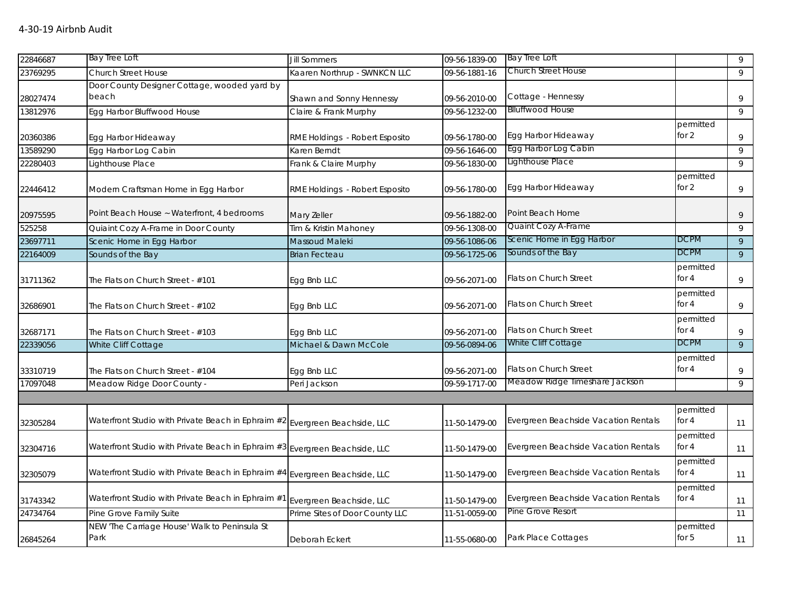| 22846687 | Bay Tree Loft                                                               | <b>Jill Sommers</b>            | 09-56-1839-00 | <b>Bay Tree Loft</b>                 |                      | 9              |
|----------|-----------------------------------------------------------------------------|--------------------------------|---------------|--------------------------------------|----------------------|----------------|
| 23769295 | <b>Church Street House</b>                                                  | Kaaren Northrup - SWNKCN LLC   | 09-56-1881-16 | Church Street House                  |                      | 9              |
|          | Door County Designer Cottage, wooded yard by                                |                                |               |                                      |                      |                |
| 28027474 | beach                                                                       | Shawn and Sonny Hennessy       | 09-56-2010-00 | Cottage - Hennessy                   |                      | 9              |
| 13812976 | Egg Harbor Bluffwood House                                                  | Claire & Frank Murphy          | 09-56-1232-00 | <b>Blluffwood House</b>              |                      | 9              |
|          |                                                                             |                                |               |                                      | permitted            |                |
| 20360386 | Egg Harbor Hideaway                                                         | RME Holdings - Robert Esposito | 09-56-1780-00 | Egg Harbor Hideaway                  | for $2$              | 9              |
| 13589290 | Egg Harbor Log Cabin                                                        | Karen Berndt                   | 09-56-1646-00 | Egg Harbor Log Cabin                 |                      | 9              |
| 22280403 | Lighthouse Place                                                            | Frank & Claire Murphy          | 09-56-1830-00 | Lighthouse Place                     |                      | 9              |
| 22446412 | Modern Craftsman Home in Egg Harbor                                         | RME Holdings - Robert Esposito | 09-56-1780-00 | Egg Harbor Hideaway                  | permitted<br>for $2$ | 9              |
| 20975595 | Point Beach House ~ Waterfront, 4 bedrooms                                  | Mary Zeller                    | 09-56-1882-00 | Point Beach Home                     |                      | 9              |
| 525258   | Quiaint Cozy A-Frame in Door County                                         | Tim & Kristin Mahoney          | 09-56-1308-00 | Quaint Cozy A-Frame                  |                      | 9              |
| 23697711 | Scenic Home in Egg Harbor                                                   | Massoud Maleki                 | 09-56-1086-06 | Scenic Home in Egg Harbor            | <b>DCPM</b>          | 9              |
| 22164009 | Sounds of the Bay                                                           | <b>Brian Fecteau</b>           | 09-56-1725-06 | Sounds of the Bay                    | DCPM                 | $\overline{9}$ |
| 31711362 | The Flats on Church Street - #101                                           | Egg Bnb LLC                    | 09-56-2071-00 | <b>Flats on Church Street</b>        | permitted<br>for $4$ | 9              |
| 32686901 | The Flats on Church Street - #102                                           | Egg Bnb LLC                    | 09-56-2071-00 | Flats on Church Street               | permitted<br>for $4$ | 9              |
| 32687171 | The Flats on Church Street - #103                                           | Egg Bnb LLC                    | 09-56-2071-00 | Flats on Church Street               | permitted<br>for 4   | 9              |
| 22339056 | White Cliff Cottage                                                         | Michael & Dawn McCole          | 09-56-0894-06 | White Cliff Cottage                  | <b>DCPM</b>          | 9              |
| 33310719 | The Flats on Church Street - #104                                           | Egg Bnb LLC                    | 09-56-2071-00 | <b>Flats on Church Street</b>        | permitted<br>for $4$ | 9              |
| 17097048 | Meadow Ridge Door County -                                                  | Peri Jackson                   | 09-59-1717-00 | Meadow Ridge Timeshare Jackson       |                      | 9              |
|          |                                                                             |                                |               |                                      |                      |                |
| 32305284 | Waterfront Studio with Private Beach in Ephraim #2 Evergreen Beachside, LLC |                                | 11-50-1479-00 | Evergreen Beachside Vacation Rentals | permitted<br>for $4$ | 11             |
| 32304716 | Waterfront Studio with Private Beach in Ephraim #3 Evergreen Beachside, LLC |                                | 11-50-1479-00 | Evergreen Beachside Vacation Rentals | permitted<br>for $4$ | 11             |
| 32305079 | Waterfront Studio with Private Beach in Ephraim #4                          | Evergreen Beachside, LLC       | 11-50-1479-00 | Evergreen Beachside Vacation Rentals | permitted<br>for $4$ | 11             |
| 31743342 | Waterfront Studio with Private Beach in Ephraim #1                          | Evergreen Beachside, LLC       | 11-50-1479-00 | Evergreen Beachside Vacation Rentals | permitted<br>for 4   | 11             |
| 24734764 | Pine Grove Family Suite                                                     | Prime Sites of Door County LLC | 11-51-0059-00 | Pine Grove Resort                    |                      | 11             |
| 26845264 | NEW 'The Carriage House' Walk to Peninsula St<br>Park                       | Deborah Eckert                 | 11-55-0680-00 | Park Place Cottages                  | permitted<br>for 5   | 11             |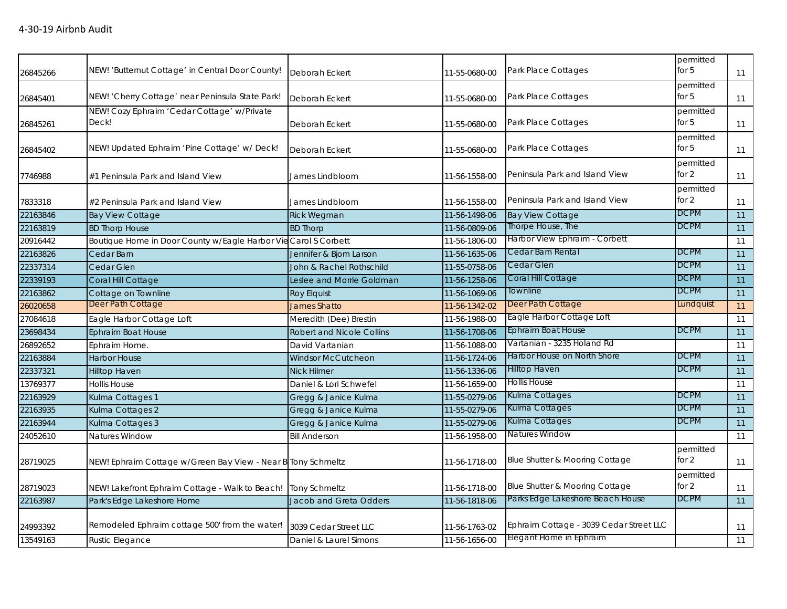| 26845266 | NEW! 'Butternut Cottage' in Central Door County!                | Deborah Eckert                   | 11-55-0680-00 | Park Place Cottages                     | permitted<br>for $5$ | 11              |
|----------|-----------------------------------------------------------------|----------------------------------|---------------|-----------------------------------------|----------------------|-----------------|
| 26845401 | NEW! 'Cherry Cottage' near Peninsula State Park!                | Deborah Eckert                   | 11-55-0680-00 | Park Place Cottages                     | permitted<br>for $5$ | 11              |
| 26845261 | NEW! Cozy Ephraim 'Cedar Cottage' w/Private<br>Deck!            | Deborah Eckert                   | 11-55-0680-00 | Park Place Cottages                     | permitted<br>for $5$ | 11              |
| 26845402 | NEW! Updated Ephraim 'Pine Cottage' w/ Deck!                    | Deborah Eckert                   | 11-55-0680-00 | Park Place Cottages                     | permitted<br>for $5$ | 11              |
| 7746988  | #1 Peninsula Park and Island View                               | James Lindbloom                  | 11-56-1558-00 | Peninsula Park and Island View          | permitted<br>for 2   | 11              |
| 7833318  | #2 Peninsula Park and Island View                               | James Lindbloom                  | 11-56-1558-00 | Peninsula Park and Island View          | permitted<br>for 2   | 11              |
| 22163846 | <b>Bay View Cottage</b>                                         | <b>Rick Wegman</b>               | 11-56-1498-06 | <b>Bay View Cottage</b>                 | <b>DCPM</b>          | 11              |
| 22163819 | <b>BD Thorp House</b>                                           | <b>BD Thorp</b>                  | 11-56-0809-06 | Thorpe House, The                       | <b>DCPM</b>          | 11              |
| 20916442 | Boutique Home in Door County w/Eagle Harbor Vie Carol S Corbett |                                  | 11-56-1806-00 | Harbor View Ephraim - Corbett           |                      | 11              |
| 22163826 | Cedar Barn                                                      | Jennifer & Bjorn Larson          | 11-56-1635-06 | Cedar Barn Rental                       | <b>DCPM</b>          | 11              |
| 22337314 | Cedar Glen                                                      | John & Rachel Rothschild         | 11-55-0758-06 | Cedar Glen                              | <b>DCPM</b>          | $\overline{11}$ |
| 22339193 | Coral Hill Cottage                                              | Leslee and Morrie Goldman        | 11-56-1258-06 | Coral Hill Cottage                      | <b>DCPM</b>          | 11              |
| 22163862 | Cottage on Townline                                             | <b>Roy Elquist</b>               | 11-56-1069-06 | Townline                                | <b>DCPM</b>          | $\overline{11}$ |
| 26020658 | Deer Path Cottage                                               | <b>James Shatto</b>              | 11-56-1342-02 | Deer Path Cottage                       | Lundquist            | 11              |
| 27084618 | Eagle Harbor Cottage Loft                                       | Meredith (Dee) Brestin           | 11-56-1988-00 | Eagle Harbor Cottage Loft               |                      | 11              |
| 23698434 | <b>Ephraim Boat House</b>                                       | <b>Robert and Nicole Collins</b> | 11-56-1708-06 | Ephraim Boat House                      | <b>DCPM</b>          | 11              |
| 26892652 | Ephraim Home.                                                   | David Vartanian                  | 11-56-1088-00 | Vartanian - 3235 Holand Rd              |                      | 11              |
| 22163884 | <b>Harbor House</b>                                             | Windsor McCutcheon               | 11-56-1724-06 | Harbor House on North Shore             | <b>DCPM</b>          | 11              |
| 22337321 | Hilltop Haven                                                   | Nick Hilmer                      | 11-56-1336-06 | <b>Hilltop Haven</b>                    | <b>DCPM</b>          | 11              |
| 13769377 | <b>Hollis House</b>                                             | Daniel & Lori Schwefel           | 11-56-1659-00 | <b>Hollis House</b>                     |                      | 11              |
| 22163929 | Kulma Cottages 1                                                | Gregg & Janice Kulma             | 11-55-0279-06 | Kulma Cottages                          | <b>DCPM</b>          | 11              |
| 22163935 | Kulma Cottages 2                                                | Gregg & Janice Kulma             | 11-55-0279-06 | Kulma Cottages                          | <b>DCPM</b>          | 11              |
| 22163944 | Kulma Cottages 3                                                | Gregg & Janice Kulma             | 11-55-0279-06 | Kulma Cottages                          | <b>DCPM</b>          | 11              |
| 24052610 | Natures Window                                                  | <b>Bill Anderson</b>             | 11-56-1958-00 | <b>Natures Window</b>                   |                      | 11              |
| 28719025 | NEW! Ephraim Cottage w/Green Bay View - Near B Tony Schmeltz    |                                  | 11-56-1718-00 | Blue Shutter & Mooring Cottage          | permitted<br>for 2   | 11              |
| 28719023 | NEW! Lakefront Ephraim Cottage - Walk to Beach!                 | <b>Tony Schmeltz</b>             | 11-56-1718-00 | Blue Shutter & Mooring Cottage          | permitted<br>for 2   | 11              |
| 22163987 | Park's Edge Lakeshore Home                                      | Jacob and Greta Odders           | 11-56-1818-06 | Parks Edge Lakeshore Beach House        | <b>DCPM</b>          | 11              |
| 24993392 | Remodeled Ephraim cottage 500' from the water!                  | 3039 Cedar Street LLC            | 11-56-1763-02 | Ephraim Cottage - 3039 Cedar Street LLC |                      | 11              |
| 13549163 | Rustic Elegance                                                 | Daniel & Laurel Simons           | 11-56-1656-00 | Elegant Home in Ephraim                 |                      | 11              |
|          |                                                                 |                                  |               |                                         |                      |                 |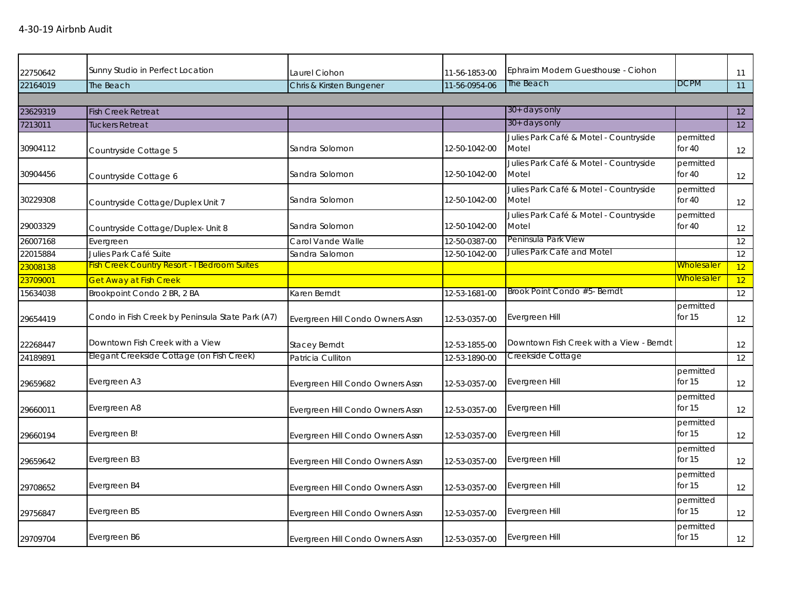|          | Sunny Studio in Perfect Location                    |                                  |               | Ephraim Modern Guesthouse - Ciohon              |                       |    |
|----------|-----------------------------------------------------|----------------------------------|---------------|-------------------------------------------------|-----------------------|----|
| 22750642 |                                                     | Laurel Ciohon                    | 11-56-1853-00 | The Beach                                       | <b>DCPM</b>           | 11 |
| 22164019 | The Beach                                           | Chris & Kirsten Bungener         | 11-56-0954-06 |                                                 |                       | 11 |
| 23629319 |                                                     |                                  |               | 30+ days only                                   |                       | 12 |
| 7213011  | <b>Fish Creek Retreat</b><br><b>Tuckers Retreat</b> |                                  |               | 30+ days only                                   |                       | 12 |
|          |                                                     |                                  |               | Julies Park Café & Motel - Countryside          | permitted             |    |
| 30904112 | Countryside Cottage 5                               | Sandra Solomon                   | 12-50-1042-00 | Motel                                           | for $40$              | 12 |
| 30904456 | Countryside Cottage 6                               | Sandra Solomon                   | 12-50-1042-00 | Julies Park Café & Motel - Countryside<br>Motel | permitted<br>for 40   | 12 |
| 30229308 | Countryside Cottage/Duplex Unit 7                   | Sandra Solomon                   | 12-50-1042-00 | Julies Park Café & Motel - Countryside<br>Motel | permitted<br>for $40$ | 12 |
| 29003329 | Countryside Cottage/Duplex- Unit 8                  | Sandra Solomon                   | 12-50-1042-00 | Julies Park Café & Motel - Countryside<br>Motel | permitted<br>for $40$ | 12 |
| 26007168 | Evergreen                                           | Carol Vande Walle                | 12-50-0387-00 | Peninsula Park View                             |                       | 12 |
| 22015884 | Julies Park Café Suite                              | Sandra Salomon                   | 12-50-1042-00 | Julies Park Café and Motel                      |                       | 12 |
| 23008138 | <b>Fish Creek Country Resort - I Bedroom Suites</b> |                                  |               |                                                 | <b>Wholesaler</b>     | 12 |
| 23709001 | <b>Get Away at Fish Creek</b>                       |                                  |               |                                                 | <b>Wholesaler</b>     | 12 |
| 15634038 | Brookpoint Condo 2 BR, 2 BA                         | Karen Berndt                     | 12-53-1681-00 | Brook Point Condo #5- Berndt                    |                       | 12 |
| 29654419 | Condo in Fish Creek by Peninsula State Park (A7)    | Evergreen Hill Condo Owners Assn | 12-53-0357-00 | Evergreen Hill                                  | permitted<br>for $15$ | 12 |
| 22268447 | Downtown Fish Creek with a View                     | <b>Stacey Berndt</b>             | 12-53-1855-00 | Downtown Fish Creek with a View - Berndt        |                       | 12 |
| 24189891 | Elegant Creekside Cottage (on Fish Creek)           | Patricia Culliton                | 12-53-1890-00 | Creekside Cottage                               |                       | 12 |
| 29659682 | Evergreen A3                                        | Evergreen Hill Condo Owners Assn | 12-53-0357-00 | Evergreen Hill                                  | permitted<br>for $15$ | 12 |
| 29660011 | Evergreen A8                                        | Evergreen Hill Condo Owners Assn | 12-53-0357-00 | Evergreen Hill                                  | permitted<br>for $15$ | 12 |
| 29660194 | Evergreen B!                                        | Evergreen Hill Condo Owners Assn | 12-53-0357-00 | Evergreen Hill                                  | permitted<br>for $15$ | 12 |
| 29659642 | Evergreen B3                                        | Evergreen Hill Condo Owners Assn | 12-53-0357-00 | Evergreen Hill                                  | permitted<br>for $15$ | 12 |
| 29708652 | Evergreen B4                                        | Evergreen Hill Condo Owners Assn | 12-53-0357-00 | Evergreen Hill                                  | permitted<br>for $15$ | 12 |
| 29756847 | Evergreen B5                                        | Evergreen Hill Condo Owners Assn | 12-53-0357-00 | Evergreen Hill                                  | permitted<br>for $15$ | 12 |
| 29709704 | Evergreen B6                                        | Evergreen Hill Condo Owners Assn | 12-53-0357-00 | Evergreen Hill                                  | permitted<br>for 15   | 12 |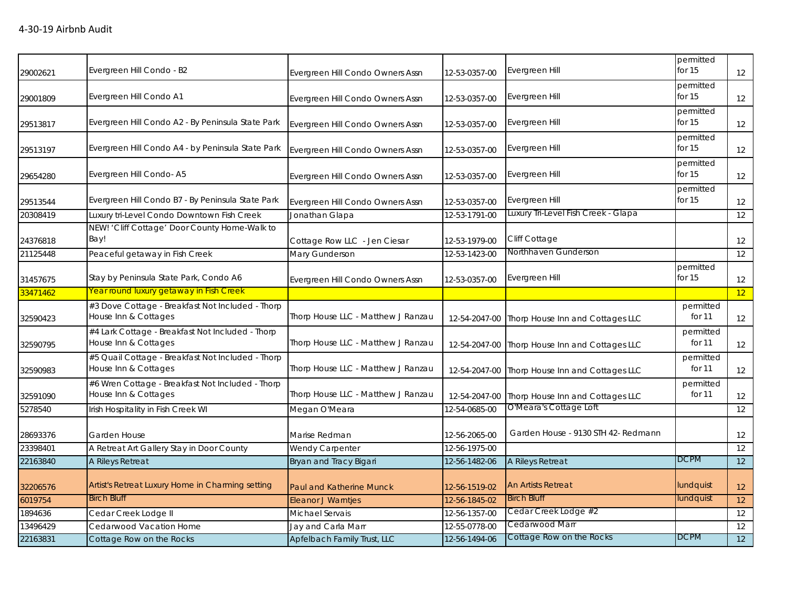| 29002621 | Evergreen Hill Condo - B2                                                 | Evergreen Hill Condo Owners Assn   | 12-53-0357-00 | Evergreen Hill                                 | permitted<br>for $15$ | 12 |
|----------|---------------------------------------------------------------------------|------------------------------------|---------------|------------------------------------------------|-----------------------|----|
| 29001809 | Evergreen Hill Condo A1                                                   | Evergreen Hill Condo Owners Assn   | 12-53-0357-00 | Evergreen Hill                                 | permitted<br>for $15$ | 12 |
| 29513817 | Evergreen Hill Condo A2 - By Peninsula State Park                         | Evergreen Hill Condo Owners Assn   | 12-53-0357-00 | Evergreen Hill                                 | permitted<br>for $15$ | 12 |
| 29513197 | Evergreen Hill Condo A4 - by Peninsula State Park                         | Evergreen Hill Condo Owners Assn   | 12-53-0357-00 | Evergreen Hill                                 | permitted<br>for 15   | 12 |
| 29654280 | Evergreen Hill Condo-A5                                                   | Evergreen Hill Condo Owners Assn   | 12-53-0357-00 | Evergreen Hill                                 | permitted<br>for 15   | 12 |
| 29513544 | Evergreen Hill Condo B7 - By Peninsula State Park                         | Evergreen Hill Condo Owners Assn   | 12-53-0357-00 | Evergreen Hill                                 | permitted<br>for $15$ | 12 |
| 20308419 | Luxury tri-Level Condo Downtown Fish Creek                                | Jonathan Glapa                     | 12-53-1791-00 | Luxury Tri-Level Fish Creek - Glapa            |                       | 12 |
| 24376818 | NEW! 'Cliff Cottage' Door County Home-Walk to<br>Bay!                     | Cottage Row LLC - Jen Ciesar       | 12-53-1979-00 | Cliff Cottage                                  |                       | 12 |
| 21125448 | Peaceful getaway in Fish Creek                                            | Mary Gunderson                     | 12-53-1423-00 | Northhaven Gunderson                           |                       | 12 |
| 31457675 | Stay by Peninsula State Park, Condo A6                                    | Evergreen Hill Condo Owners Assn   | 12-53-0357-00 | Evergreen Hill                                 | permitted<br>for $15$ | 12 |
| 33471462 | Year round luxury getaway in Fish Creek                                   |                                    |               |                                                |                       | 12 |
| 32590423 | #3 Dove Cottage - Breakfast Not Included - Thorp<br>House Inn & Cottages  | Thorp House LLC - Matthew J Ranzau |               | 12-54-2047-00 Thorp House Inn and Cottages LLC | permitted<br>for 11   | 12 |
| 32590795 | #4 Lark Cottage - Breakfast Not Included - Thorp<br>House Inn & Cottages  | Thorp House LLC - Matthew J Ranzau |               | 12-54-2047-00 Thorp House Inn and Cottages LLC | permitted<br>for 11   | 12 |
| 32590983 | #5 Quail Cottage - Breakfast Not Included - Thorp<br>House Inn & Cottages | Thorp House LLC - Matthew J Ranzau | 12-54-2047-00 | Thorp House Inn and Cottages LLC               | permitted<br>for 11   | 12 |
| 32591090 | #6 Wren Cottage - Breakfast Not Included - Thorp<br>House Inn & Cottages  | Thorp House LLC - Matthew J Ranzau | 12-54-2047-00 | Thorp House Inn and Cottages LLC               | permitted<br>for 11   | 12 |
| 5278540  | Irish Hospitality in Fish Creek WI                                        | Megan O'Meara                      | 12-54-0685-00 | O'Meara's Cottage Loft                         |                       | 12 |
| 28693376 | Garden House                                                              | Marise Redman                      | 12-56-2065-00 | Garden House - 9130 STH 42- Redmann            |                       | 12 |
| 23398401 | A Retreat Art Gallery Stay in Door County                                 | <b>Wendy Carpenter</b>             | 12-56-1975-00 |                                                |                       | 12 |
| 22163840 | A Rileys Retreat                                                          | Bryan and Tracy Bigari             | 12-56-1482-06 | A Rileys Retreat                               | <b>DCPM</b>           | 12 |
| 32206576 | Artist's Retreat Luxury Home in Charming setting                          | <b>Paul and Katherine Munck</b>    | 12-56-1519-02 | <b>An Artists Retreat</b>                      | lundquist             | 12 |
| 6019754  | <b>Birch Bluff</b>                                                        | <b>Eleanor J Warntjes</b>          | 12-56-1845-02 | <b>Birch Bluff</b>                             | lundquist             | 12 |
| 1894636  | Cedar Creek Lodge II                                                      | Michael Servais                    | 12-56-1357-00 | Cedar Creek Lodge #2                           |                       | 12 |
| 13496429 | Cedarwood Vacation Home                                                   | Jay and Carla Marr                 | 12-55-0778-00 | Cedarwood Marr                                 |                       | 12 |
| 22163831 | Cottage Row on the Rocks                                                  | Apfelbach Family Trust, LLC        | 12-56-1494-06 | Cottage Row on the Rocks                       | <b>DCPM</b>           | 12 |
|          |                                                                           |                                    |               |                                                |                       |    |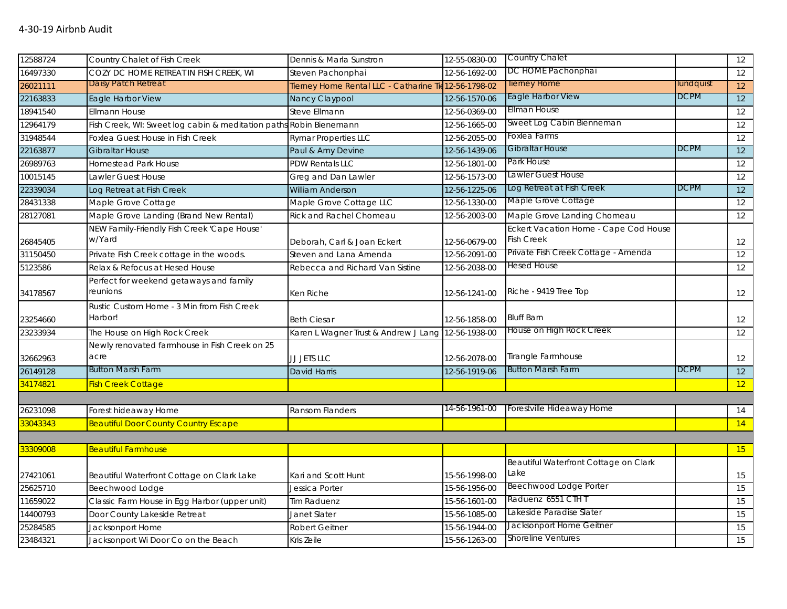| 12588724 | Country Chalet of Fish Creek                                       | Dennis & Marla Sunstron                               | 12-55-0830-00 | <b>Country Chalet</b>                 |             | 12              |
|----------|--------------------------------------------------------------------|-------------------------------------------------------|---------------|---------------------------------------|-------------|-----------------|
| 16497330 | COZY DC HOME RETREAT IN FISH CREEK, WI                             | Steven Pachonphai                                     | 12-56-1692-00 | DC HOME Pachonphai                    |             | 12              |
| 26021111 | Daisy Patch Retreat                                                | Tierney Home Rental LLC - Catharine Tie 12-56-1798-02 |               | <b>Tierney Home</b>                   | lundquist   | 12              |
| 22163833 | Eagle Harbor View                                                  | Nancy Claypool                                        | 12-56-1570-06 | Eagle Harbor View                     | <b>DCPM</b> | 12              |
| 18941540 | <b>Ellmann House</b>                                               | Steve Ellmann                                         | 12-56-0369-00 | <b>Ellman House</b>                   |             | 12              |
| 12964179 | Fish Creek, WI: Sweet log cabin & meditation paths Robin Bienemann |                                                       | 12-56-1665-00 | Sweet Log Cabin Bienneman             |             | 12              |
| 31948544 | Foxlea Guest House in Fish Creek                                   | <b>Rymar Properties LLC</b>                           | 12-56-2055-00 | Foxlea Farms                          |             | 12              |
| 22163877 | <b>Gibraltar House</b>                                             | Paul & Amy Devine                                     | 12-56-1439-06 | Gibraltar House                       | <b>DCPM</b> | 12              |
| 26989763 | <b>Homestead Park House</b>                                        | <b>PDW Rentals LLC</b>                                | 12-56-1801-00 | Park House                            |             | 12              |
| 10015145 | Lawler Guest House                                                 | Greg and Dan Lawler                                   | 12-56-1573-00 | Lawler Guest House                    |             | 12              |
| 22339034 | Log Retreat at Fish Creek                                          | <b>William Anderson</b>                               | 12-56-1225-06 | Log Retreat at Fish Creek             | <b>DCPM</b> | 12              |
| 28431338 | Maple Grove Cottage                                                | Maple Grove Cottage LLC                               | 12-56-1330-00 | Maple Grove Cottage                   |             | 12              |
| 28127081 | Maple Grove Landing (Brand New Rental)                             | <b>Rick and Rachel Chomeau</b>                        | 12-56-2003-00 | Maple Grove Landing Chomeau           |             | 12              |
|          | NEW Family-Friendly Fish Creek 'Cape House'                        |                                                       |               | Eckert Vacation Home - Cape Cod House |             |                 |
| 26845405 | w/Yard                                                             | Deborah, Carl & Joan Eckert                           | 12-56-0679-00 | <b>Fish Creek</b>                     |             | 12              |
| 31150450 | Private Fish Creek cottage in the woods.                           | Steven and Lana Amenda                                | 12-56-2091-00 | Private Fish Creek Cottage - Amenda   |             | $\overline{12}$ |
| 5123586  | Relax & Refocus at Hesed House                                     | Rebecca and Richard Van Sistine                       | 12-56-2038-00 | <b>Hesed House</b>                    |             | 12              |
|          | Perfect for weekend getaways and family                            |                                                       |               |                                       |             |                 |
| 34178567 | reunions                                                           | Ken Riche                                             | 12-56-1241-00 | Riche - 9419 Tree Top                 |             | 12              |
|          | Rustic Custom Home - 3 Min from Fish Creek                         |                                                       |               |                                       |             |                 |
| 23254660 | Harbor!                                                            | <b>Beth Ciesar</b>                                    | 12-56-1858-00 | <b>Bluff Barn</b>                     |             | 12              |
| 23233934 | The House on High Rock Creek                                       | Karen L Wagner Trust & Andrew J Lang 12-56-1938-00    |               | House on High Rock Creek              |             | 12              |
|          | Newly renovated farmhouse in Fish Creek on 25                      |                                                       |               |                                       |             |                 |
| 32662963 | acre                                                               | JJ JETS LLC                                           | 12-56-2078-00 | Tirangle Farmhouse                    |             | 12              |
| 26149128 | <b>Button Marsh Farm</b>                                           | <b>David Harris</b>                                   | 12-56-1919-06 | <b>Button Marsh Farm</b>              | <b>DCPM</b> | 12              |
| 34174821 | <b>Fish Creek Cottage</b>                                          |                                                       |               |                                       |             | 12              |
|          |                                                                    |                                                       |               |                                       |             |                 |
| 26231098 | Forest hideaway Home                                               | Ransom Flanders                                       | 14-56-1961-00 | Forestville Hideaway Home             |             | 14              |
| 33043343 | <b>Beautiful Door County Country Escape</b>                        |                                                       |               |                                       |             | 14              |
|          |                                                                    |                                                       |               |                                       |             |                 |
| 33309008 | <b>Beautiful Farmhouse</b>                                         |                                                       |               |                                       |             | 15              |
|          |                                                                    |                                                       |               | Beautiful Waterfront Cottage on Clark |             |                 |
| 27421061 | Beautiful Waterfront Cottage on Clark Lake                         | Kari and Scott Hunt                                   | 15-56-1998-00 | Lake                                  |             | 15              |
| 25625710 | Beechwood Lodge                                                    | Jessica Porter                                        | 15-56-1956-00 | Beechwood Lodge Porter                |             | 15              |
| 11659022 | Classic Farm House in Egg Harbor (upper unit)                      | Tim Raduenz                                           | 15-56-1601-00 | Raduenz 6551 CTH T                    |             | 15              |
| 14400793 | Door County Lakeside Retreat                                       | Janet Slater                                          | 15-56-1085-00 | Lakeside Paradise Slater              |             | 15              |
| 25284585 | Jacksonport Home                                                   | <b>Robert Geitner</b>                                 | 15-56-1944-00 | Jacksonport Home Geitner              |             | 15              |
| 23484321 | Jacksonport Wi Door Co on the Beach                                | Kris Zeile                                            | 15-56-1263-00 | <b>Shoreline Ventures</b>             |             | 15              |
|          |                                                                    |                                                       |               |                                       |             |                 |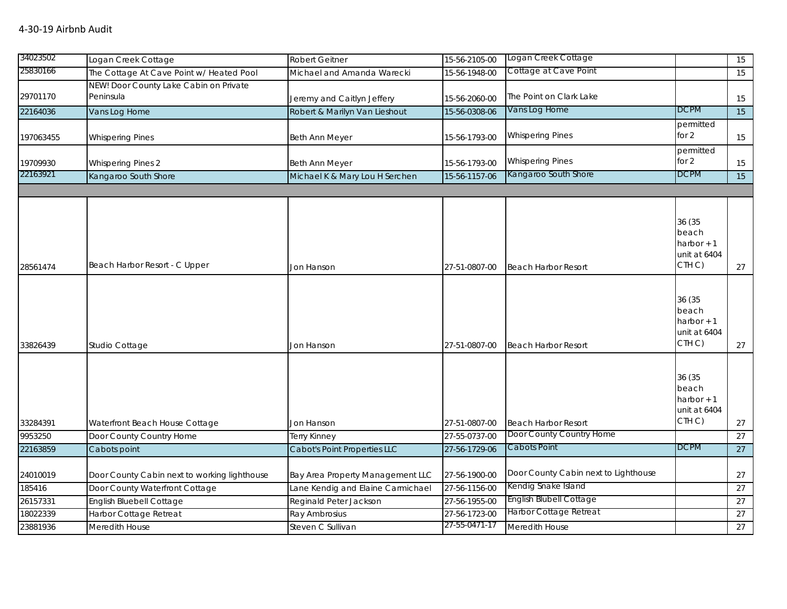| 25830166<br>Cottage at Cave Point<br>The Cottage At Cave Point w/ Heated Pool<br>Michael and Amanda Warecki<br>15-56-1948-00<br>15<br>NEW! Door County Lake Cabin on Private<br>29701170<br>Peninsula<br>The Point on Clark Lake<br>Jeremy and Caitlyn Jeffery<br>15-56-2060-00<br>15<br>Vans Log Home<br><b>DCPM</b><br>Robert & Marilyn Van Lieshout<br>$\overline{15}$<br>22164036<br>Vans Log Home<br>15-56-0308-06<br>permitted<br>for 2<br><b>Whispering Pines</b><br>197063455<br><b>Whispering Pines</b><br>Beth Ann Meyer<br>15-56-1793-00<br>15<br>permitted<br>for 2<br><b>Whispering Pines</b><br>19709930<br><b>Whispering Pines 2</b><br>Beth Ann Meyer<br>15-56-1793-00<br>15<br>22163921<br>Kangaroo South Shore<br>DCPM<br>Kangaroo South Shore<br>Michael K & Mary Lou H Serchen<br>15-56-1157-06<br>15<br>36 (35<br>beach<br>harbor $+1$<br>unit at 6404<br>CTH <sub>C</sub> )<br>Beach Harbor Resort - C Upper<br>Jon Hanson<br>27-51-0807-00<br>27<br><b>Beach Harbor Resort</b><br>36 (35<br>beach<br>harbor $+1$<br>unit at 6404<br>CTH C)<br>27<br>33826439<br>Studio Cottage<br>Jon Hanson<br>27-51-0807-00<br><b>Beach Harbor Resort</b><br>36 (35<br>beach<br>harbor $+1$<br>unit at 6404<br>CTH C)<br>33284391<br>Waterfront Beach House Cottage<br>Jon Hanson<br>27-51-0807-00<br><b>Beach Harbor Resort</b><br>27<br>Door County Country Home<br>Door County Country Home<br>9953250<br>27-55-0737-00<br>27<br><b>Terry Kinney</b><br>Cabots Point<br><b>DCPM</b><br>22163859<br>Cabot's Point Properties LLC<br>27-56-1729-06<br>27<br>Cabots point<br>Door County Cabin next to Lighthouse<br>24010019<br>Door County Cabin next to working lighthouse<br>Bay Area Property Management LLC<br>27-56-1900-00<br>27<br>Kendig Snake Island<br>Lane Kendig and Elaine Carmichael<br>185416<br>Door County Waterfront Cottage<br>27-56-1156-00<br>27<br><b>English Blubell Cottage</b><br>26157331<br>English Bluebell Cottage<br>Reginald Peter Jackson<br>27-56-1955-00<br>27<br>Harbor Cottage Retreat<br>18022339<br>27-56-1723-00<br>Harbor Cottage Retreat<br>Ray Ambrosius<br>27<br>27-55-0471-17<br>23881936<br>27<br>Meredith House<br>Steven C Sullivan<br>Meredith House | 34023502 |                     |                       |               |                     |    |
|-----------------------------------------------------------------------------------------------------------------------------------------------------------------------------------------------------------------------------------------------------------------------------------------------------------------------------------------------------------------------------------------------------------------------------------------------------------------------------------------------------------------------------------------------------------------------------------------------------------------------------------------------------------------------------------------------------------------------------------------------------------------------------------------------------------------------------------------------------------------------------------------------------------------------------------------------------------------------------------------------------------------------------------------------------------------------------------------------------------------------------------------------------------------------------------------------------------------------------------------------------------------------------------------------------------------------------------------------------------------------------------------------------------------------------------------------------------------------------------------------------------------------------------------------------------------------------------------------------------------------------------------------------------------------------------------------------------------------------------------------------------------------------------------------------------------------------------------------------------------------------------------------------------------------------------------------------------------------------------------------------------------------------------------------------------------------------------------------------------------------------------------------------------------------------------------------------------------|----------|---------------------|-----------------------|---------------|---------------------|----|
|                                                                                                                                                                                                                                                                                                                                                                                                                                                                                                                                                                                                                                                                                                                                                                                                                                                                                                                                                                                                                                                                                                                                                                                                                                                                                                                                                                                                                                                                                                                                                                                                                                                                                                                                                                                                                                                                                                                                                                                                                                                                                                                                                                                                                 |          | Logan Creek Cottage | <b>Robert Geitner</b> | 15-56-2105-00 | Logan Creek Cottage | 15 |
|                                                                                                                                                                                                                                                                                                                                                                                                                                                                                                                                                                                                                                                                                                                                                                                                                                                                                                                                                                                                                                                                                                                                                                                                                                                                                                                                                                                                                                                                                                                                                                                                                                                                                                                                                                                                                                                                                                                                                                                                                                                                                                                                                                                                                 |          |                     |                       |               |                     |    |
|                                                                                                                                                                                                                                                                                                                                                                                                                                                                                                                                                                                                                                                                                                                                                                                                                                                                                                                                                                                                                                                                                                                                                                                                                                                                                                                                                                                                                                                                                                                                                                                                                                                                                                                                                                                                                                                                                                                                                                                                                                                                                                                                                                                                                 |          |                     |                       |               |                     |    |
|                                                                                                                                                                                                                                                                                                                                                                                                                                                                                                                                                                                                                                                                                                                                                                                                                                                                                                                                                                                                                                                                                                                                                                                                                                                                                                                                                                                                                                                                                                                                                                                                                                                                                                                                                                                                                                                                                                                                                                                                                                                                                                                                                                                                                 |          |                     |                       |               |                     |    |
|                                                                                                                                                                                                                                                                                                                                                                                                                                                                                                                                                                                                                                                                                                                                                                                                                                                                                                                                                                                                                                                                                                                                                                                                                                                                                                                                                                                                                                                                                                                                                                                                                                                                                                                                                                                                                                                                                                                                                                                                                                                                                                                                                                                                                 |          |                     |                       |               |                     |    |
|                                                                                                                                                                                                                                                                                                                                                                                                                                                                                                                                                                                                                                                                                                                                                                                                                                                                                                                                                                                                                                                                                                                                                                                                                                                                                                                                                                                                                                                                                                                                                                                                                                                                                                                                                                                                                                                                                                                                                                                                                                                                                                                                                                                                                 |          |                     |                       |               |                     |    |
|                                                                                                                                                                                                                                                                                                                                                                                                                                                                                                                                                                                                                                                                                                                                                                                                                                                                                                                                                                                                                                                                                                                                                                                                                                                                                                                                                                                                                                                                                                                                                                                                                                                                                                                                                                                                                                                                                                                                                                                                                                                                                                                                                                                                                 |          |                     |                       |               |                     |    |
|                                                                                                                                                                                                                                                                                                                                                                                                                                                                                                                                                                                                                                                                                                                                                                                                                                                                                                                                                                                                                                                                                                                                                                                                                                                                                                                                                                                                                                                                                                                                                                                                                                                                                                                                                                                                                                                                                                                                                                                                                                                                                                                                                                                                                 |          |                     |                       |               |                     |    |
|                                                                                                                                                                                                                                                                                                                                                                                                                                                                                                                                                                                                                                                                                                                                                                                                                                                                                                                                                                                                                                                                                                                                                                                                                                                                                                                                                                                                                                                                                                                                                                                                                                                                                                                                                                                                                                                                                                                                                                                                                                                                                                                                                                                                                 |          |                     |                       |               |                     |    |
|                                                                                                                                                                                                                                                                                                                                                                                                                                                                                                                                                                                                                                                                                                                                                                                                                                                                                                                                                                                                                                                                                                                                                                                                                                                                                                                                                                                                                                                                                                                                                                                                                                                                                                                                                                                                                                                                                                                                                                                                                                                                                                                                                                                                                 |          |                     |                       |               |                     |    |
|                                                                                                                                                                                                                                                                                                                                                                                                                                                                                                                                                                                                                                                                                                                                                                                                                                                                                                                                                                                                                                                                                                                                                                                                                                                                                                                                                                                                                                                                                                                                                                                                                                                                                                                                                                                                                                                                                                                                                                                                                                                                                                                                                                                                                 |          |                     |                       |               |                     |    |
|                                                                                                                                                                                                                                                                                                                                                                                                                                                                                                                                                                                                                                                                                                                                                                                                                                                                                                                                                                                                                                                                                                                                                                                                                                                                                                                                                                                                                                                                                                                                                                                                                                                                                                                                                                                                                                                                                                                                                                                                                                                                                                                                                                                                                 |          |                     |                       |               |                     |    |
|                                                                                                                                                                                                                                                                                                                                                                                                                                                                                                                                                                                                                                                                                                                                                                                                                                                                                                                                                                                                                                                                                                                                                                                                                                                                                                                                                                                                                                                                                                                                                                                                                                                                                                                                                                                                                                                                                                                                                                                                                                                                                                                                                                                                                 |          |                     |                       |               |                     |    |
|                                                                                                                                                                                                                                                                                                                                                                                                                                                                                                                                                                                                                                                                                                                                                                                                                                                                                                                                                                                                                                                                                                                                                                                                                                                                                                                                                                                                                                                                                                                                                                                                                                                                                                                                                                                                                                                                                                                                                                                                                                                                                                                                                                                                                 |          |                     |                       |               |                     |    |
|                                                                                                                                                                                                                                                                                                                                                                                                                                                                                                                                                                                                                                                                                                                                                                                                                                                                                                                                                                                                                                                                                                                                                                                                                                                                                                                                                                                                                                                                                                                                                                                                                                                                                                                                                                                                                                                                                                                                                                                                                                                                                                                                                                                                                 |          |                     |                       |               |                     |    |
|                                                                                                                                                                                                                                                                                                                                                                                                                                                                                                                                                                                                                                                                                                                                                                                                                                                                                                                                                                                                                                                                                                                                                                                                                                                                                                                                                                                                                                                                                                                                                                                                                                                                                                                                                                                                                                                                                                                                                                                                                                                                                                                                                                                                                 |          |                     |                       |               |                     |    |
|                                                                                                                                                                                                                                                                                                                                                                                                                                                                                                                                                                                                                                                                                                                                                                                                                                                                                                                                                                                                                                                                                                                                                                                                                                                                                                                                                                                                                                                                                                                                                                                                                                                                                                                                                                                                                                                                                                                                                                                                                                                                                                                                                                                                                 | 28561474 |                     |                       |               |                     |    |
|                                                                                                                                                                                                                                                                                                                                                                                                                                                                                                                                                                                                                                                                                                                                                                                                                                                                                                                                                                                                                                                                                                                                                                                                                                                                                                                                                                                                                                                                                                                                                                                                                                                                                                                                                                                                                                                                                                                                                                                                                                                                                                                                                                                                                 |          |                     |                       |               |                     |    |
|                                                                                                                                                                                                                                                                                                                                                                                                                                                                                                                                                                                                                                                                                                                                                                                                                                                                                                                                                                                                                                                                                                                                                                                                                                                                                                                                                                                                                                                                                                                                                                                                                                                                                                                                                                                                                                                                                                                                                                                                                                                                                                                                                                                                                 |          |                     |                       |               |                     |    |
|                                                                                                                                                                                                                                                                                                                                                                                                                                                                                                                                                                                                                                                                                                                                                                                                                                                                                                                                                                                                                                                                                                                                                                                                                                                                                                                                                                                                                                                                                                                                                                                                                                                                                                                                                                                                                                                                                                                                                                                                                                                                                                                                                                                                                 |          |                     |                       |               |                     |    |
|                                                                                                                                                                                                                                                                                                                                                                                                                                                                                                                                                                                                                                                                                                                                                                                                                                                                                                                                                                                                                                                                                                                                                                                                                                                                                                                                                                                                                                                                                                                                                                                                                                                                                                                                                                                                                                                                                                                                                                                                                                                                                                                                                                                                                 |          |                     |                       |               |                     |    |
|                                                                                                                                                                                                                                                                                                                                                                                                                                                                                                                                                                                                                                                                                                                                                                                                                                                                                                                                                                                                                                                                                                                                                                                                                                                                                                                                                                                                                                                                                                                                                                                                                                                                                                                                                                                                                                                                                                                                                                                                                                                                                                                                                                                                                 |          |                     |                       |               |                     |    |
|                                                                                                                                                                                                                                                                                                                                                                                                                                                                                                                                                                                                                                                                                                                                                                                                                                                                                                                                                                                                                                                                                                                                                                                                                                                                                                                                                                                                                                                                                                                                                                                                                                                                                                                                                                                                                                                                                                                                                                                                                                                                                                                                                                                                                 |          |                     |                       |               |                     |    |
|                                                                                                                                                                                                                                                                                                                                                                                                                                                                                                                                                                                                                                                                                                                                                                                                                                                                                                                                                                                                                                                                                                                                                                                                                                                                                                                                                                                                                                                                                                                                                                                                                                                                                                                                                                                                                                                                                                                                                                                                                                                                                                                                                                                                                 |          |                     |                       |               |                     |    |
|                                                                                                                                                                                                                                                                                                                                                                                                                                                                                                                                                                                                                                                                                                                                                                                                                                                                                                                                                                                                                                                                                                                                                                                                                                                                                                                                                                                                                                                                                                                                                                                                                                                                                                                                                                                                                                                                                                                                                                                                                                                                                                                                                                                                                 |          |                     |                       |               |                     |    |
|                                                                                                                                                                                                                                                                                                                                                                                                                                                                                                                                                                                                                                                                                                                                                                                                                                                                                                                                                                                                                                                                                                                                                                                                                                                                                                                                                                                                                                                                                                                                                                                                                                                                                                                                                                                                                                                                                                                                                                                                                                                                                                                                                                                                                 |          |                     |                       |               |                     |    |
|                                                                                                                                                                                                                                                                                                                                                                                                                                                                                                                                                                                                                                                                                                                                                                                                                                                                                                                                                                                                                                                                                                                                                                                                                                                                                                                                                                                                                                                                                                                                                                                                                                                                                                                                                                                                                                                                                                                                                                                                                                                                                                                                                                                                                 |          |                     |                       |               |                     |    |
|                                                                                                                                                                                                                                                                                                                                                                                                                                                                                                                                                                                                                                                                                                                                                                                                                                                                                                                                                                                                                                                                                                                                                                                                                                                                                                                                                                                                                                                                                                                                                                                                                                                                                                                                                                                                                                                                                                                                                                                                                                                                                                                                                                                                                 |          |                     |                       |               |                     |    |
|                                                                                                                                                                                                                                                                                                                                                                                                                                                                                                                                                                                                                                                                                                                                                                                                                                                                                                                                                                                                                                                                                                                                                                                                                                                                                                                                                                                                                                                                                                                                                                                                                                                                                                                                                                                                                                                                                                                                                                                                                                                                                                                                                                                                                 |          |                     |                       |               |                     |    |
|                                                                                                                                                                                                                                                                                                                                                                                                                                                                                                                                                                                                                                                                                                                                                                                                                                                                                                                                                                                                                                                                                                                                                                                                                                                                                                                                                                                                                                                                                                                                                                                                                                                                                                                                                                                                                                                                                                                                                                                                                                                                                                                                                                                                                 |          |                     |                       |               |                     |    |
|                                                                                                                                                                                                                                                                                                                                                                                                                                                                                                                                                                                                                                                                                                                                                                                                                                                                                                                                                                                                                                                                                                                                                                                                                                                                                                                                                                                                                                                                                                                                                                                                                                                                                                                                                                                                                                                                                                                                                                                                                                                                                                                                                                                                                 |          |                     |                       |               |                     |    |
|                                                                                                                                                                                                                                                                                                                                                                                                                                                                                                                                                                                                                                                                                                                                                                                                                                                                                                                                                                                                                                                                                                                                                                                                                                                                                                                                                                                                                                                                                                                                                                                                                                                                                                                                                                                                                                                                                                                                                                                                                                                                                                                                                                                                                 |          |                     |                       |               |                     |    |
|                                                                                                                                                                                                                                                                                                                                                                                                                                                                                                                                                                                                                                                                                                                                                                                                                                                                                                                                                                                                                                                                                                                                                                                                                                                                                                                                                                                                                                                                                                                                                                                                                                                                                                                                                                                                                                                                                                                                                                                                                                                                                                                                                                                                                 |          |                     |                       |               |                     |    |
|                                                                                                                                                                                                                                                                                                                                                                                                                                                                                                                                                                                                                                                                                                                                                                                                                                                                                                                                                                                                                                                                                                                                                                                                                                                                                                                                                                                                                                                                                                                                                                                                                                                                                                                                                                                                                                                                                                                                                                                                                                                                                                                                                                                                                 |          |                     |                       |               |                     |    |
|                                                                                                                                                                                                                                                                                                                                                                                                                                                                                                                                                                                                                                                                                                                                                                                                                                                                                                                                                                                                                                                                                                                                                                                                                                                                                                                                                                                                                                                                                                                                                                                                                                                                                                                                                                                                                                                                                                                                                                                                                                                                                                                                                                                                                 |          |                     |                       |               |                     |    |
|                                                                                                                                                                                                                                                                                                                                                                                                                                                                                                                                                                                                                                                                                                                                                                                                                                                                                                                                                                                                                                                                                                                                                                                                                                                                                                                                                                                                                                                                                                                                                                                                                                                                                                                                                                                                                                                                                                                                                                                                                                                                                                                                                                                                                 |          |                     |                       |               |                     |    |
|                                                                                                                                                                                                                                                                                                                                                                                                                                                                                                                                                                                                                                                                                                                                                                                                                                                                                                                                                                                                                                                                                                                                                                                                                                                                                                                                                                                                                                                                                                                                                                                                                                                                                                                                                                                                                                                                                                                                                                                                                                                                                                                                                                                                                 |          |                     |                       |               |                     |    |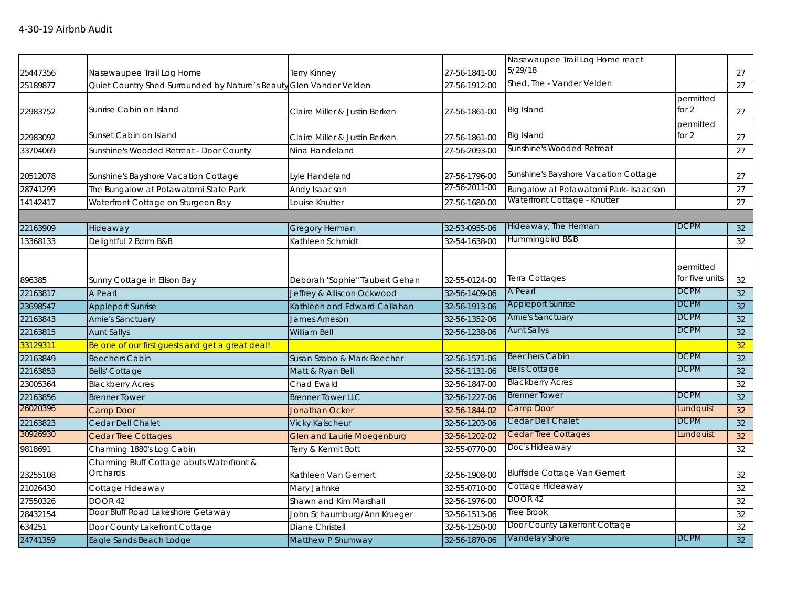| 25447356 | Nasewaupee Trail Log Home                                           | Terry Kinney                      | 27-56-1841-00 | Nasewaupee Trail Log Home react<br>5/29/18 |                             | 27 |
|----------|---------------------------------------------------------------------|-----------------------------------|---------------|--------------------------------------------|-----------------------------|----|
| 25189877 | Quiet Country Shed Surrounded by Nature's Beauty Glen Vander Velden |                                   | 27-56-1912-00 | Shed, The - Vander Velden                  |                             | 27 |
| 22983752 | Sunrise Cabin on Island                                             | Claire Miller & Justin Berken     | 27-56-1861-00 | <b>Big Island</b>                          | permitted<br>for $2$        | 27 |
| 22983092 | Sunset Cabin on Island                                              | Claire Miller & Justin Berken     | 27-56-1861-00 | <b>Big Island</b>                          | permitted<br>for $2$        | 27 |
| 33704069 | Sunshine's Wooded Retreat - Door County                             | Nina Handeland                    | 27-56-2093-00 | Sunshine's Wooded Retreat                  |                             | 27 |
| 20512078 | Sunshine's Bayshore Vacation Cottage                                | Lyle Handeland                    | 27-56-1796-00 | Sunshine's Bayshore Vacation Cottage       |                             | 27 |
| 28741299 | The Bungalow at Potawatomi State Park                               | Andy Isaacson                     | 27-56-2011-00 | Bungalow at Potawatomi Park- Isaacson      |                             | 27 |
| 14142417 | Waterfront Cottage on Sturgeon Bay                                  | Louise Knutter                    | 27-56-1680-00 | Waterfront Cottage - Knutter               |                             | 27 |
|          |                                                                     |                                   |               |                                            |                             |    |
| 22163909 | Hideaway                                                            | Gregory Herman                    | 32-53-0955-06 | Hideaway, The Herman                       | <b>DCPM</b>                 | 32 |
| 13368133 | Delightful 2 Bdrm B&B                                               | Kathleen Schmidt                  | 32-54-1638-00 | Hummingbird B&B                            |                             | 32 |
| 896385   | Sunny Cottage in Ellson Bay                                         | Deborah "Sophie" Taubert Gehan    | 32-55-0124-00 | Terra Cottages                             | permitted<br>for five units | 32 |
| 22163817 | A Pearl                                                             | Jeffrey & Alliscon Ockwood        | 32-56-1409-06 | A Pearl                                    | <b>DCPM</b>                 | 32 |
| 23698547 | <b>Appleport Sunrise</b>                                            | Kathleen and Edward Callahan      | 32-56-1913-06 | <b>Appleport Sunrise</b>                   | <b>DCPM</b>                 | 32 |
| 22163843 | Arnie's Sanctuary                                                   | James Arneson                     | 32-56-1352-06 | <b>Arnie's Sanctuary</b>                   | <b>DCPM</b>                 | 32 |
| 22163815 | <b>Aunt Sallys</b>                                                  | William Bell                      | 32-56-1238-06 | <b>Aunt Sallys</b>                         | <b>DCPM</b>                 | 32 |
| 33129311 | Be one of our first guests and get a great deal!                    |                                   |               |                                            |                             | 32 |
| 22163849 | <b>Beechers Cabin</b>                                               | Susan Szabo & Mark Beecher        | 32-56-1571-06 | <b>Beechers Cabin</b>                      | <b>DCPM</b>                 | 32 |
| 22163853 | <b>Bells' Cottage</b>                                               | Matt & Ryan Bell                  | 32-56-1131-06 | <b>Bells Cottage</b>                       | <b>DCPM</b>                 | 32 |
| 23005364 | <b>Blackberry Acres</b>                                             | Chad Ewald                        | 32-56-1847-00 | <b>Blackberry Acres</b>                    |                             | 32 |
| 22163856 | <b>Brenner Tower</b>                                                | <b>Brenner Tower LLC</b>          | 32-56-1227-06 | <b>Brenner Tower</b>                       | <b>DCPM</b>                 | 32 |
| 26020396 | Camp Door                                                           | <b>Jonathan Ocker</b>             | 32-56-1844-02 | Camp Door                                  | Lundquist                   | 32 |
| 22163823 | Cedar Dell Chalet                                                   | <b>Vicky Kalscheur</b>            | 32-56-1203-06 | Cedar Dell Chalet                          | <b>DCPM</b>                 | 32 |
| 30926930 | <b>Cedar Tree Cottages</b>                                          | <b>Glen and Laurie Moegenburg</b> | 32-56-1202-02 | Cedar Tree Cottages                        | Lundquist                   | 32 |
| 9818691  | Charming 1880's Log Cabin                                           | Terry & Kermit Bott               | 32-55-0770-00 | Doc's Hideaway                             |                             | 32 |
| 23255108 | Charming Bluff Cottage abuts Waterfront &<br>Orchards               | Kathleen Van Gemert               | 32-56-1908-00 | <b>Bluffside Cottage Van Gemert</b>        |                             | 32 |
| 21026430 | Cottage Hideaway                                                    | Mary Jahnke                       | 32-55-0710-00 | Cottage Hideaway                           |                             | 32 |
| 27550326 | DOOR 42                                                             | Shawn and Kim Marshall            | 32-56-1976-00 | <b>DOOR 42</b>                             |                             | 32 |
| 28432154 | Door Bluff Road Lakeshore Getaway                                   | John Schaumburg/Ann Krueger       | 32-56-1513-06 | Tree Brook                                 |                             | 32 |
| 634251   | Door County Lakefront Cottage                                       | Diane Christell                   | 32-56-1250-00 | Door County Lakefront Cottage              |                             | 32 |
| 24741359 | Eagle Sands Beach Lodge                                             | Matthew P Shumway                 | 32-56-1870-06 | Vandelay Shore                             | <b>DCPM</b>                 | 32 |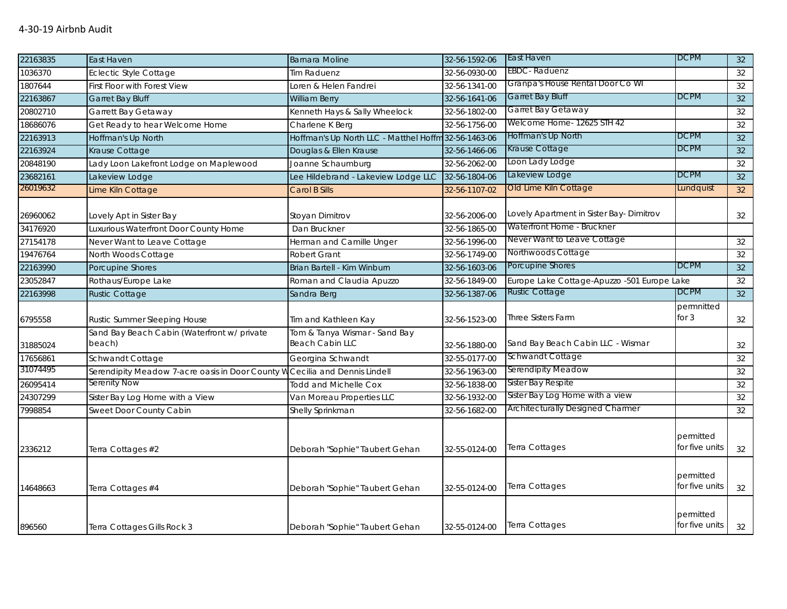| 22163835             | East Haven                                                                  | <b>Barnara Moline</b>                                | 32-56-1592-06                  | East Haven                                                             | <b>DCPM</b>                 | 32              |
|----------------------|-----------------------------------------------------------------------------|------------------------------------------------------|--------------------------------|------------------------------------------------------------------------|-----------------------------|-----------------|
| 1036370              | Eclectic Style Cottage                                                      | lim Raduenz                                          | 32-56-0930-00                  | EBDC-Raduenz                                                           |                             | 32              |
| 1807644              | First Floor with Forest View                                                | oren & Helen Fandrei                                 | 32-56-1341-00                  | Granpa's House Rental Door Co WI                                       |                             | 32              |
| 22163867             | <b>Garret Bay Bluff</b>                                                     | William Berry                                        | 32-56-1641-06                  | <b>Garret Bay Bluff</b>                                                | <b>DCPM</b>                 | 32              |
| 20802710             | Garrett Bay Getaway                                                         | Kenneth Hays & Sally Wheelock                        | 32-56-1802-00                  | Garret Bay Getaway                                                     |                             | 32              |
| 18686076             | Get Ready to hear Welcome Home                                              | Charlene K Berg                                      | 32-56-1756-00                  | Welcome Home- 12625 STH 42                                             |                             | 32              |
| 22163913             | Hoffman's Up North                                                          | Hoffman's Up North LLC - Matthel Hoffm 32-56-1463-06 |                                | Hoffman's Up North                                                     | <b>DCPM</b>                 | 32              |
| 22163924             | Krause Cottage                                                              | Douglas & Ellen Krause                               | 32-56-1466-06                  | Krause Cottage                                                         | <b>DCPM</b>                 | 32              |
| 20848190             | Lady Loon Lakefront Lodge on Maplewood                                      | Joanne Schaumburg                                    | 32-56-2062-00                  | Loon Lady Lodge                                                        |                             | 32              |
| 23682161             | Lakeview Lodge                                                              | Lee Hildebrand - Lakeview Lodge LLC                  | 32-56-1804-06                  | Lakeview Lodge                                                         | <b>DCPM</b>                 | 32              |
| 26019632             | Lime Kiln Cottage                                                           | Carol B Sills                                        | 32-56-1107-02                  | Old Lime Kiln Cottage                                                  | Lundquist                   | 32 <sup>°</sup> |
| 26960062<br>34176920 | Lovely Apt in Sister Bay<br>Luxurious Waterfront Door County Home           | Stoyan Dimitrov<br>Dan Bruckner                      | 32-56-2006-00<br>32-56-1865-00 | Lovely Apartment in Sister Bay- Dimitrov<br>Waterfront Home - Bruckner |                             | 32              |
| 27154178             | Never Want to Leave Cottage                                                 | Herman and Camille Unger                             | 32-56-1996-00                  | Never Want to Leave Cottage                                            |                             | 32              |
| 19476764             | North Woods Cottage                                                         | Robert Grant                                         | 32-56-1749-00                  | Northwoods Cottage                                                     |                             | 32              |
| 22163990             | Porcupine Shores                                                            | Brian Bartell - Kim Winburn                          | 32-56-1603-06                  | Porcupine Shores                                                       | <b>DCPM</b>                 | 32              |
| 23052847             | Rothaus/Europe Lake                                                         | Roman and Claudia Apuzzo                             | 32-56-1849-00                  | Europe Lake Cottage-Apuzzo -501 Europe Lake                            |                             | 32              |
| 22163998             | <b>Rustic Cottage</b>                                                       | Sandra Berg                                          | 32-56-1387-06                  | <b>Rustic Cottage</b>                                                  | <b>DCPM</b>                 | 32              |
|                      |                                                                             |                                                      |                                |                                                                        | permnitted                  |                 |
| 6795558              | Rustic Summer Sleeping House                                                | Tim and Kathleen Kay                                 | 32-56-1523-00                  | <b>Three Sisters Farm</b>                                              | for $3$                     | 32              |
| 31885024             | Sand Bay Beach Cabin (Waterfront w/ private<br>beach)                       | Tom & Tanya Wismar - Sand Bay<br>Beach Cabin LLC     | 32-56-1880-00                  | Sand Bay Beach Cabin LLC - Wismar                                      |                             | 32              |
| 17656861             | Schwandt Cottage                                                            | Georgina Schwandt                                    | 32-55-0177-00                  | Schwandt Cottage                                                       |                             | 32              |
| 31074495             | Serendipity Meadow 7-acre oasis in Door County W Cecilia and Dennis Lindell |                                                      | 32-56-1963-00                  | Serendipity Meadow                                                     |                             | 32              |
| 26095414             | Serenity Now                                                                | <b>Todd and Michelle Cox</b>                         | 32-56-1838-00                  | Sister Bay Respite                                                     |                             | 32              |
| 24307299             | Sister Bay Log Home with a View                                             | Van Moreau Properties LLC                            | 32-56-1932-00                  | Sister Bay Log Home with a view                                        |                             | 32              |
| 7998854              | Sweet Door County Cabin                                                     | Shelly Sprinkman                                     | 32-56-1682-00                  | <b>Architecturally Designed Charmer</b>                                |                             | 32              |
| 2336212              | Terra Cottages #2                                                           | Deborah "Sophie" Taubert Gehan                       | 32-55-0124-00                  | Terra Cottages                                                         | permitted<br>for five units | 32              |
| 14648663             | Terra Cottages #4                                                           | Deborah "Sophie" Taubert Gehan                       | 32-55-0124-00                  | Terra Cottages                                                         | permitted<br>for five units | 32              |
| 896560               | Terra Cottages Gills Rock 3                                                 | Deborah "Sophie" Taubert Gehan                       | 32-55-0124-00                  | Terra Cottages                                                         | permitted<br>for five units | 32              |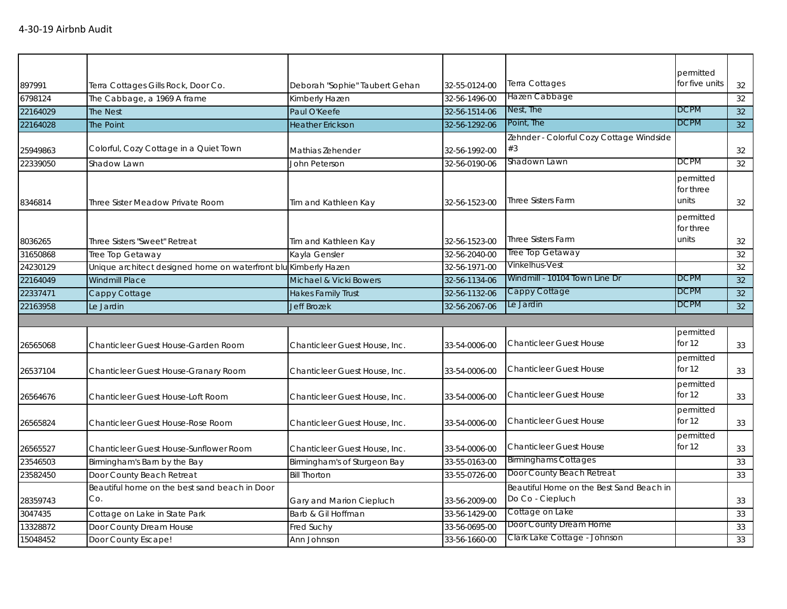|          |                                                                 |                                |               |                                          | permitted      |                 |
|----------|-----------------------------------------------------------------|--------------------------------|---------------|------------------------------------------|----------------|-----------------|
| 897991   | Terra Cottages Gills Rock, Door Co.                             | Deborah "Sophie" Taubert Gehan | 32-55-0124-00 | Terra Cottages                           | for five units | 32              |
| 6798124  | The Cabbage, a 1969 A frame                                     | Kimberly Hazen                 | 32-56-1496-00 | Hazen Cabbage                            |                | 32              |
| 22164029 | The Nest                                                        | Paul O'Keefe                   | 32-56-1514-06 | Nest, The                                | <b>DCPM</b>    | 32              |
| 22164028 | The Point                                                       | <b>Heather Erickson</b>        | 32-56-1292-06 | Point, The                               | <b>DCPM</b>    | 32 <sup>°</sup> |
|          |                                                                 |                                |               | Zehnder - Colorful Cozy Cottage Windside |                |                 |
| 25949863 | Colorful, Cozy Cottage in a Quiet Town                          | Mathias Zehender               | 32-56-1992-00 | #3                                       |                | 32              |
| 22339050 | Shadow Lawn                                                     | John Peterson                  | 32-56-0190-06 | Shadown Lawn                             | <b>DCPM</b>    | 32              |
|          |                                                                 |                                |               |                                          | permitted      |                 |
|          |                                                                 |                                |               |                                          | for three      |                 |
| 8346814  | Three Sister Meadow Private Room                                | Tim and Kathleen Kay           | 32-56-1523-00 | <b>Three Sisters Farm</b>                | units          | 32              |
|          |                                                                 |                                |               |                                          | permitted      |                 |
|          |                                                                 |                                |               |                                          | for three      |                 |
| 8036265  | Three Sisters "Sweet" Retreat                                   | Tim and Kathleen Kay           | 32-56-1523-00 | <b>Three Sisters Farm</b>                | units          | 32              |
| 31650868 | Tree Top Getaway                                                | Kayla Gensler                  | 32-56-2040-00 | Tree Top Getaway                         |                | 32              |
| 24230129 | Unique architect designed home on waterfront blu Kimberly Hazen |                                | 32-56-1971-00 | Vinkelhus-Vest                           |                | 32              |
| 22164049 | Windmill Place                                                  | Michael & Vicki Bowers         | 32-56-1134-06 | Windmill - 10104 Town Line Dr            | <b>DCPM</b>    | 32              |
| 22337471 | Cappy Cottage                                                   | <b>Hakes Family Trust</b>      | 32-56-1132-06 | Cappy Cottage                            | <b>DCPM</b>    | 32              |
| 22163958 | Le Jardin                                                       | <b>Jeff Brozek</b>             | 32-56-2067-06 | Le Jardin                                | <b>DCPM</b>    | 32              |
|          |                                                                 |                                |               |                                          |                |                 |
|          |                                                                 |                                |               |                                          | permitted      |                 |
| 26565068 | Chanticleer Guest House-Garden Room                             | Chanticleer Guest House, Inc.  | 33-54-0006-00 | <b>Chanticleer Guest House</b>           | for 12         | 33              |
|          |                                                                 |                                |               |                                          | permitted      |                 |
| 26537104 | Chanticleer Guest House-Granary Room                            | Chanticleer Guest House, Inc.  | 33-54-0006-00 | <b>Chanticleer Guest House</b>           | for $12$       | 33              |
|          |                                                                 |                                |               |                                          | permitted      |                 |
| 26564676 | Chanticleer Guest House-Loft Room                               | Chanticleer Guest House, Inc.  | 33-54-0006-00 | <b>Chanticleer Guest House</b>           | for 12         | 33              |
|          |                                                                 |                                |               |                                          | permitted      |                 |
| 26565824 | Chanticleer Guest House-Rose Room                               | Chanticleer Guest House, Inc.  | 33-54-0006-00 | <b>Chanticleer Guest House</b>           | for 12         | 33              |
|          |                                                                 |                                |               |                                          | permitted      |                 |
| 26565527 | Chanticleer Guest House-Sunflower Room                          | Chanticleer Guest House, Inc.  | 33-54-0006-00 | <b>Chanticleer Guest House</b>           | for 12         | 33              |
| 23546503 | Birmingham's Barn by the Bay                                    | Birmingham's of Sturgeon Bay   | 33-55-0163-00 | <b>Birminghams Cottages</b>              |                | 33              |
| 23582450 | Door County Beach Retreat                                       | <b>Bill Thorton</b>            | 33-55-0726-00 | Door County Beach Retreat                |                | 33              |
|          | Beautiful home on the best sand beach in Door                   |                                |               | Beautiful Home on the Best Sand Beach in |                |                 |
| 28359743 | Co.                                                             | Gary and Marion Ciepluch       | 33-56-2009-00 | Do Co - Ciepluch                         |                | 33              |
| 3047435  | Cottage on Lake in State Park                                   | Barb & Gil Hoffman             | 33-56-1429-00 | Cottage on Lake                          |                | 33              |
| 13328872 | Door County Dream House                                         | Fred Suchy                     | 33-56-0695-00 | Door County Dream Home                   |                | 33              |
| 15048452 | Door County Escape!                                             | Ann Johnson                    | 33-56-1660-00 | Clark Lake Cottage - Johnson             |                | 33              |
|          |                                                                 |                                |               |                                          |                |                 |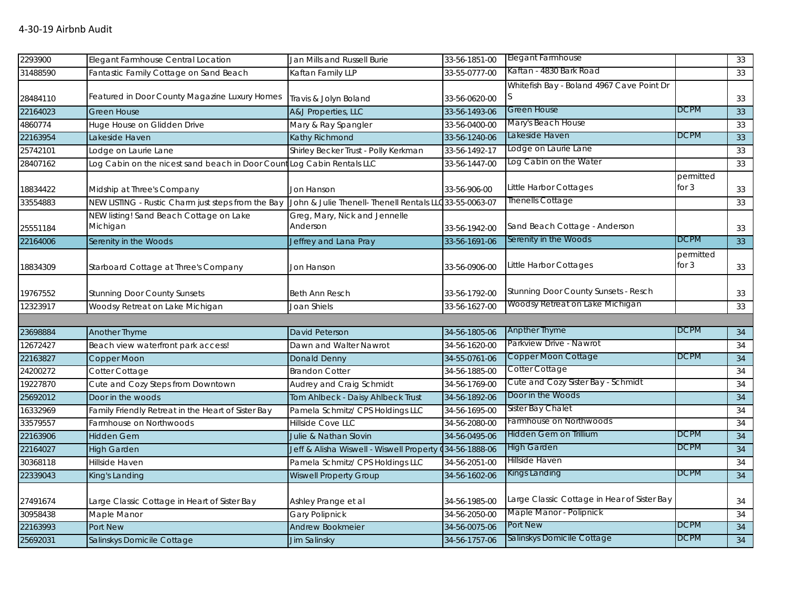| 2293900  | Elegant Farmhouse Central Location                                     | Jan Mills and Russell Burie                             | 33-56-1851-00 | <b>Elegant Farmhouse</b>                    |                      | 33 |
|----------|------------------------------------------------------------------------|---------------------------------------------------------|---------------|---------------------------------------------|----------------------|----|
| 31488590 | Fantastic Family Cottage on Sand Beach                                 | Kaftan Family LLP                                       | 33-55-0777-00 | Kaftan - 4830 Bark Road                     |                      | 33 |
|          |                                                                        |                                                         |               | Whitefish Bay - Boland 4967 Cave Point Dr   |                      |    |
| 28484110 | Featured in Door County Magazine Luxury Homes                          | Travis & Jolyn Boland                                   | 33-56-0620-00 |                                             |                      | 33 |
| 22164023 | <b>Green House</b>                                                     | A&J Properties, LLC                                     | 33-56-1493-06 | Green House                                 | <b>DCPM</b>          | 33 |
| 4860774  | Huge House on Glidden Drive                                            | Mary & Ray Spangler                                     | 33-56-0400-00 | Mary's Beach House                          |                      | 33 |
| 22163954 | Lakeside Haven                                                         | Kathy Richmond                                          | 33-56-1240-06 | Lakeside Haven                              | <b>DCPM</b>          | 33 |
| 25742101 | Lodge on Laurie Lane                                                   | Shirley Becker Trust - Polly Kerkman                    | 33-56-1492-17 | Lodge on Laurie Lane                        |                      | 33 |
| 28407162 | Log Cabin on the nicest sand beach in Door Count Log Cabin Rentals LLC |                                                         | 33-56-1447-00 | Log Cabin on the Water                      |                      | 33 |
| 18834422 | Midship at Three's Company                                             | Jon Hanson                                              | 33-56-906-00  | Little Harbor Cottages                      | permitted<br>for $3$ | 33 |
| 33554883 | NEW LISTING - Rustic Charm just steps from the Bay                     | John & Julie Thenell- Thenell Rentals LLC 33-55-0063-07 |               | <b>Thenells Cottage</b>                     |                      | 33 |
| 25551184 | NEW listing! Sand Beach Cottage on Lake<br>Michigan                    | Greg, Mary, Nick and Jennelle<br>Anderson               | 33-56-1942-00 | Sand Beach Cottage - Anderson               |                      | 33 |
| 22164006 | Serenity in the Woods                                                  | Jeffrey and Lana Pray                                   | 33-56-1691-06 | Serenity in the Woods                       | <b>DCPM</b>          | 33 |
| 18834309 | Starboard Cottage at Three's Company                                   | Jon Hanson                                              | 33-56-0906-00 | Little Harbor Cottages                      | permitted<br>for $3$ | 33 |
| 19767552 | <b>Stunning Door County Sunsets</b>                                    | Beth Ann Resch                                          | 33-56-1792-00 | <b>Stunning Door County Sunsets - Resch</b> |                      | 33 |
| 12323917 | Woodsy Retreat on Lake Michigan                                        | Joan Shiels                                             | 33-56-1627-00 | Woodsy Retreat on Lake Michigan             |                      | 33 |
|          |                                                                        |                                                         |               |                                             |                      |    |
| 23698884 | Another Thyme                                                          | David Peterson                                          | 34-56-1805-06 | <b>Anpther Thyme</b>                        | <b>DCPM</b>          | 34 |
| 12672427 | Beach view waterfront park access!                                     | Dawn and Walter Nawrot                                  | 34-56-1620-00 | Parkview Drive - Nawrot                     |                      | 34 |
| 22163827 | Copper Moon                                                            | Donald Denny                                            | 34-55-0761-06 | Copper Moon Cottage                         | <b>DCPM</b>          | 34 |
| 24200272 | Cotter Cottage                                                         | <b>Brandon Cotter</b>                                   | 34-56-1885-00 | Cotter Cottage                              |                      | 34 |
| 19227870 | Cute and Cozy Steps from Downtown                                      | Audrey and Craig Schmidt                                | 34-56-1769-00 | Cute and Cozy Sister Bay - Schmidt          |                      | 34 |
| 25692012 | Door in the woods                                                      | Tom Ahlbeck - Daisy Ahlbeck Trust                       | 34-56-1892-06 | Door in the Woods                           |                      | 34 |
| 16332969 | Family Friendly Retreat in the Heart of Sister Bay                     | Pamela Schmitz/ CPS Holdings LLC                        | 34-56-1695-00 | Sister Bay Chalet                           |                      | 34 |
| 33579557 | Farmhouse on Northwoods                                                | Hillside Cove LLC                                       | 34-56-2080-00 | Farmhouse on Northwoods                     |                      | 34 |
| 22163906 | <b>Hidden Gem</b>                                                      | Julie & Nathan Slovin                                   | 34-56-0495-06 | Hidden Gem on Trillium                      | <b>DCPM</b>          | 34 |
| 22164027 | <b>High Garden</b>                                                     | Jeff & Alisha Wiswell - Wiswell Property (34-56-1888-06 |               | <b>High Garden</b>                          | <b>DCPM</b>          | 34 |
| 30368118 | Hillside Haven                                                         | Pamela Schmitz/ CPS Holdings LLC                        | 34-56-2051-00 | Hillside Haven                              |                      | 34 |
| 22339043 | King's Landing                                                         | <b>Wiswell Property Group</b>                           | 34-56-1602-06 | Kings Landing                               | <b>DCPM</b>          | 34 |
| 27491674 | Large Classic Cottage in Heart of Sister Bay                           | Ashley Prange et al                                     | 34-56-1985-00 | Large Classic Cottage in Hear of Sister Bay |                      | 34 |
| 30958438 | Maple Manor                                                            | <b>Gary Polipnick</b>                                   | 34-56-2050-00 | Maple Manor - Polipnick                     |                      | 34 |
| 22163993 | Port New                                                               | <b>Andrew Bookmeier</b>                                 | 34-56-0075-06 | Port New                                    | <b>DCPM</b>          | 34 |
| 25692031 | Salinskys Domicile Cottage                                             | Jim Salinsky                                            | 34-56-1757-06 | Salinskys Domicile Cottage                  | <b>DCPM</b>          | 34 |
|          |                                                                        |                                                         |               |                                             |                      |    |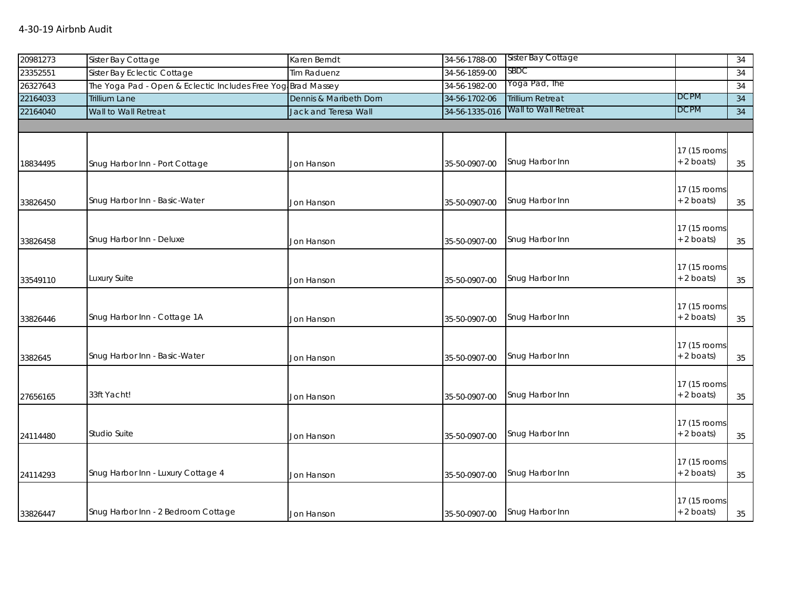## 4-30-19 Airbnb Audit

| 20981273 | Sister Bay Cottage                                           | Karen Berndt           | 34-56-1788-00  | Sister Bay Cottage      |              | 34 |
|----------|--------------------------------------------------------------|------------------------|----------------|-------------------------|--------------|----|
| 23352551 | Sister Bay Eclectic Cottage                                  | <b>Tim Raduenz</b>     | 34-56-1859-00  | SBDC                    |              | 34 |
| 26327643 | The Yoga Pad - Open & Eclectic Includes Free Yog Brad Massey |                        | 34-56-1982-00  | Yoga Pad, The           |              | 34 |
| 22164033 | <b>Trillium Lane</b>                                         | Dennis & Maribeth Dorn | 34-56-1702-06  | <b>Trillium Retreat</b> | <b>DCPM</b>  | 34 |
| 22164040 | Wall to Wall Retreat                                         | Jack and Teresa Wall   | 34-56-1335-016 | Wall to Wall Retreat    | <b>DCPM</b>  | 34 |
|          |                                                              |                        |                |                         |              |    |
|          |                                                              |                        |                |                         |              |    |
|          |                                                              |                        |                |                         | 17 (15 rooms |    |
| 18834495 | Snug Harbor Inn - Port Cottage                               | Jon Hanson             | 35-50-0907-00  | Snug Harbor Inn         | $+ 2$ boats) | 35 |
|          |                                                              |                        |                |                         |              |    |
|          |                                                              |                        |                |                         | 17 (15 rooms |    |
| 33826450 | Snug Harbor Inn - Basic-Water                                | Jon Hanson             | 35-50-0907-00  | Snug Harbor Inn         | $+ 2$ boats) | 35 |
|          |                                                              |                        |                |                         |              |    |
|          |                                                              |                        |                |                         | 17 (15 rooms |    |
| 33826458 | Snug Harbor Inn - Deluxe                                     | Jon Hanson             | 35-50-0907-00  | Snug Harbor Inn         | $+ 2$ boats) | 35 |
|          |                                                              |                        |                |                         |              |    |
|          |                                                              |                        |                |                         | 17 (15 rooms |    |
| 33549110 | Luxury Suite                                                 | Jon Hanson             | 35-50-0907-00  | Snug Harbor Inn         | $+ 2$ boats) | 35 |
|          |                                                              |                        |                |                         |              |    |
|          |                                                              |                        |                |                         | 17 (15 rooms |    |
| 33826446 | Snug Harbor Inn - Cottage 1A                                 | Jon Hanson             | 35-50-0907-00  | Snug Harbor Inn         | $+ 2$ boats) | 35 |
|          |                                                              |                        |                |                         |              |    |
|          |                                                              |                        |                |                         | 17 (15 rooms |    |
| 3382645  | Snug Harbor Inn - Basic-Water                                | Jon Hanson             | 35-50-0907-00  | Snug Harbor Inn         | + 2 boats)   | 35 |
|          |                                                              |                        |                |                         |              |    |
|          |                                                              |                        |                |                         | 17 (15 rooms |    |
| 27656165 | 33ft Yacht!                                                  | Jon Hanson             | 35-50-0907-00  | Snug Harbor Inn         | $+ 2$ boats) | 35 |
|          |                                                              |                        |                |                         |              |    |
|          |                                                              |                        |                |                         | 17 (15 rooms |    |
| 24114480 | <b>Studio Suite</b>                                          | Jon Hanson             | 35-50-0907-00  | Snug Harbor Inn         | $+ 2$ boats) | 35 |
|          |                                                              |                        |                |                         |              |    |
|          |                                                              |                        |                |                         | 17 (15 rooms |    |
| 24114293 | Snug Harbor Inn - Luxury Cottage 4                           | Jon Hanson             | 35-50-0907-00  | Snug Harbor Inn         | $+ 2$ boats) | 35 |
|          |                                                              |                        |                |                         |              |    |
|          |                                                              |                        |                |                         | 17 (15 rooms |    |
| 33826447 | Snug Harbor Inn - 2 Bedroom Cottage                          | Jon Hanson             | 35-50-0907-00  | Snug Harbor Inn         | $+ 2$ boats) | 35 |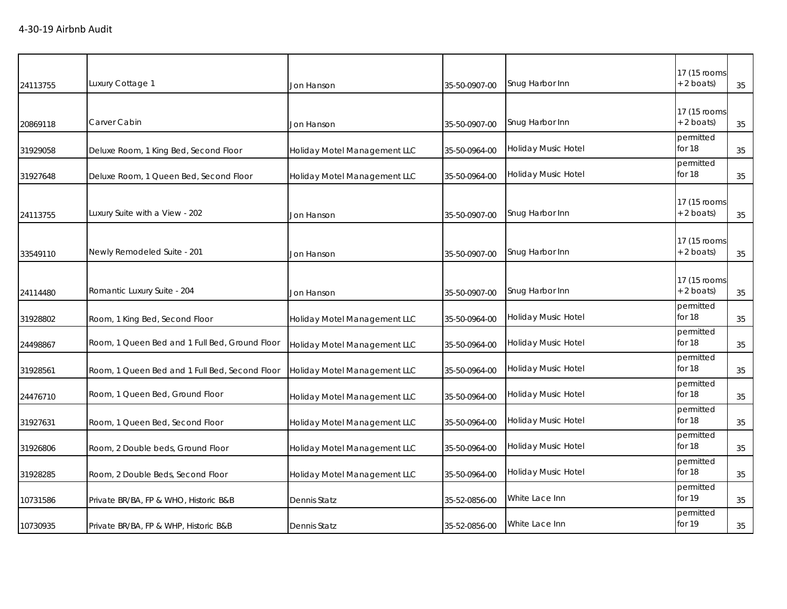| 24113755 | Luxury Cottage 1                               | Jon Hanson                   | 35-50-0907-00 | Snug Harbor Inn            | 17 (15 rooms<br>+ 2 boats)   | 35 |
|----------|------------------------------------------------|------------------------------|---------------|----------------------------|------------------------------|----|
| 20869118 | Carver Cabin                                   | Jon Hanson                   | 35-50-0907-00 | Snug Harbor Inn            | 17 (15 rooms<br>$+ 2$ boats) | 35 |
| 31929058 | Deluxe Room, 1 King Bed, Second Floor          | Holiday Motel Management LLC | 35-50-0964-00 | Holiday Music Hotel        | permitted<br>for 18          | 35 |
| 31927648 | Deluxe Room, 1 Queen Bed, Second Floor         | Holiday Motel Management LLC | 35-50-0964-00 | Holiday Music Hotel        | permitted<br>for 18          | 35 |
| 24113755 | Luxury Suite with a View - 202                 | Jon Hanson                   | 35-50-0907-00 | Snug Harbor Inn            | 17 (15 rooms<br>$+2$ boats)  | 35 |
| 33549110 | Newly Remodeled Suite - 201                    | Jon Hanson                   | 35-50-0907-00 | Snug Harbor Inn            | 17 (15 rooms<br>$+ 2$ boats) | 35 |
| 24114480 | Romantic Luxury Suite - 204                    | Jon Hanson                   | 35-50-0907-00 | Snug Harbor Inn            | 17 (15 rooms<br>$+ 2$ boats) | 35 |
| 31928802 | Room, 1 King Bed, Second Floor                 | Holiday Motel Management LLC | 35-50-0964-00 | <b>Holiday Music Hotel</b> | permitted<br>for 18          | 35 |
| 24498867 | Room, 1 Queen Bed and 1 Full Bed, Ground Floor | Holiday Motel Management LLC | 35-50-0964-00 | <b>Holiday Music Hotel</b> | permitted<br>for 18          | 35 |
| 31928561 | Room, 1 Queen Bed and 1 Full Bed, Second Floor | Holiday Motel Management LLC | 35-50-0964-00 | <b>Holiday Music Hotel</b> | permitted<br>for 18          | 35 |
| 24476710 | Room, 1 Queen Bed, Ground Floor                | Holiday Motel Management LLC | 35-50-0964-00 | <b>Holiday Music Hotel</b> | permitted<br>for 18          | 35 |
| 31927631 | Room, 1 Queen Bed, Second Floor                | Holiday Motel Management LLC | 35-50-0964-00 | <b>Holiday Music Hotel</b> | permitted<br>for 18          | 35 |
| 31926806 | Room, 2 Double beds, Ground Floor              | Holiday Motel Management LLC | 35-50-0964-00 | <b>Holiday Music Hotel</b> | permitted<br>for 18          | 35 |
| 31928285 | Room, 2 Double Beds, Second Floor              | Holiday Motel Management LLC | 35-50-0964-00 | <b>Holiday Music Hotel</b> | permitted<br>for 18          | 35 |
| 10731586 | Private BR/BA, FP & WHO, Historic B&B          | <b>Dennis Statz</b>          | 35-52-0856-00 | White Lace Inn             | permitted<br>for 19          | 35 |
| 10730935 | Private BR/BA, FP & WHP, Historic B&B          | <b>Dennis Statz</b>          | 35-52-0856-00 | White Lace Inn             | permitted<br>for 19          | 35 |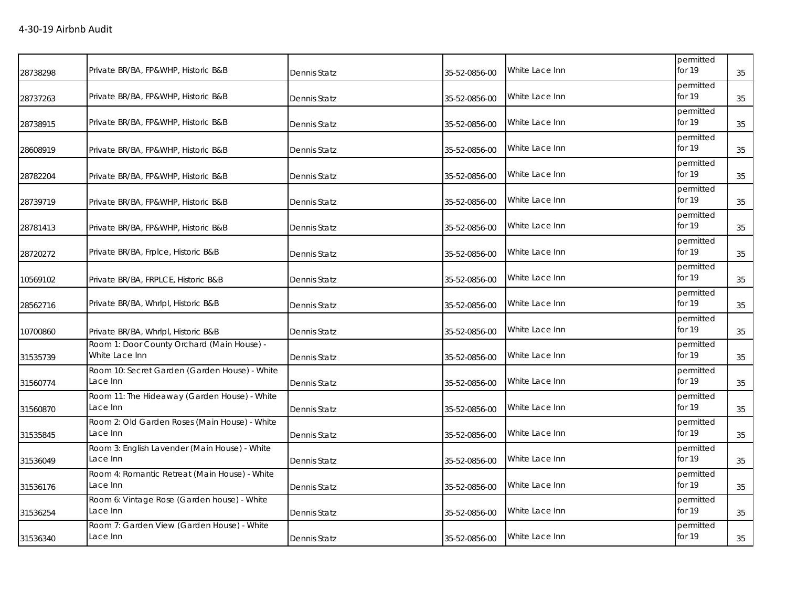| 28738298 | Private BR/BA, FP&WHP, Historic B&B                          | Dennis Statz | 35-52-0856-00 | White Lace Inn | permitted<br>for 19 | 35 |
|----------|--------------------------------------------------------------|--------------|---------------|----------------|---------------------|----|
| 28737263 | Private BR/BA, FP&WHP, Historic B&B                          | Dennis Statz | 35-52-0856-00 | White Lace Inn | permitted<br>for 19 | 35 |
| 28738915 | Private BR/BA, FP&WHP, Historic B&B                          | Dennis Statz | 35-52-0856-00 | White Lace Inn | permitted<br>for 19 | 35 |
| 28608919 | Private BR/BA, FP&WHP, Historic B&B                          | Dennis Statz | 35-52-0856-00 | White Lace Inn | permitted<br>for 19 | 35 |
| 28782204 | Private BR/BA, FP&WHP, Historic B&B                          | Dennis Statz | 35-52-0856-00 | White Lace Inn | permitted<br>for 19 | 35 |
| 28739719 | Private BR/BA, FP&WHP, Historic B&B                          | Dennis Statz | 35-52-0856-00 | White Lace Inn | permitted<br>for 19 | 35 |
| 28781413 | Private BR/BA, FP&WHP, Historic B&B                          | Dennis Statz | 35-52-0856-00 | White Lace Inn | permitted<br>for 19 | 35 |
| 28720272 | Private BR/BA, Frplce, Historic B&B                          | Dennis Statz | 35-52-0856-00 | White Lace Inn | permitted<br>for 19 | 35 |
| 10569102 | Private BR/BA, FRPLCE, Historic B&B                          | Dennis Statz | 35-52-0856-00 | White Lace Inn | permitted<br>for 19 | 35 |
| 28562716 | Private BR/BA, Whrlpl, Historic B&B                          | Dennis Statz | 35-52-0856-00 | White Lace Inn | permitted<br>for 19 | 35 |
| 10700860 | Private BR/BA, Whrlpl, Historic B&B                          | Dennis Statz | 35-52-0856-00 | White Lace Inn | permitted<br>for 19 | 35 |
| 31535739 | Room 1: Door County Orchard (Main House) -<br>White Lace Inn | Dennis Statz | 35-52-0856-00 | White Lace Inn | permitted<br>for 19 | 35 |
| 31560774 | Room 10: Secret Garden (Garden House) - White<br>Lace Inn    | Dennis Statz | 35-52-0856-00 | White Lace Inn | permitted<br>for 19 | 35 |
| 31560870 | Room 11: The Hideaway (Garden House) - White<br>Lace Inn     | Dennis Statz | 35-52-0856-00 | White Lace Inn | permitted<br>for 19 | 35 |
| 31535845 | Room 2: Old Garden Roses (Main House) - White<br>Lace Inn    | Dennis Statz | 35-52-0856-00 | White Lace Inn | permitted<br>for 19 | 35 |
| 31536049 | Room 3: English Lavender (Main House) - White<br>Lace Inn    | Dennis Statz | 35-52-0856-00 | White Lace Inn | permitted<br>for 19 | 35 |
| 31536176 | Room 4: Romantic Retreat (Main House) - White<br>Lace Inn    | Dennis Statz | 35-52-0856-00 | White Lace Inn | permitted<br>for 19 | 35 |
| 31536254 | Room 6: Vintage Rose (Garden house) - White<br>Lace Inn      | Dennis Statz | 35-52-0856-00 | White Lace Inn | permitted<br>for 19 | 35 |
| 31536340 | Room 7: Garden View (Garden House) - White<br>Lace Inn       | Dennis Statz | 35-52-0856-00 | White Lace Inn | permitted<br>for 19 | 35 |
|          |                                                              |              |               |                |                     |    |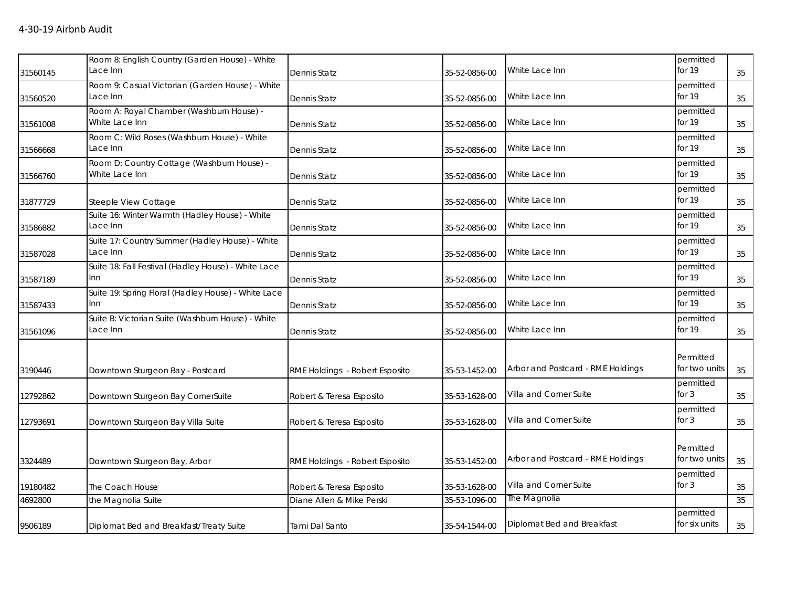|          | Room 8: English Country (Garden House) - White<br>Lace Inn    |                                |               | White Lace Inn                    | permitted<br>for 19        |    |
|----------|---------------------------------------------------------------|--------------------------------|---------------|-----------------------------------|----------------------------|----|
| 31560145 |                                                               | Dennis Statz                   | 35-52-0856-00 |                                   |                            | 35 |
| 31560520 | Room 9: Casual Victorian (Garden House) - White<br>Lace Inn   | Dennis Statz                   | 35-52-0856-00 | White Lace Inn                    | permitted<br>for 19        | 35 |
| 31561008 | Room A: Royal Chamber (Washburn House) -<br>White Lace Inn    | <b>Dennis Statz</b>            | 35-52-0856-00 | White Lace Inn                    | permitted<br>for 19        | 35 |
| 31566668 | Room C: Wild Roses (Washburn House) - White<br>Lace Inn       | <b>Dennis Statz</b>            | 35-52-0856-00 | White Lace Inn                    | permitted<br>for 19        | 35 |
| 31566760 | Room D: Country Cottage (Washburn House) -<br>White Lace Inn  | Dennis Statz                   | 35-52-0856-00 | White Lace Inn                    | permitted<br>for 19        | 35 |
| 31877729 | Steeple View Cottage                                          | Dennis Statz                   | 35-52-0856-00 | White Lace Inn                    | permitted<br>for 19        | 35 |
| 31586882 | Suite 16: Winter Warmth (Hadley House) - White<br>Lace Inn    | Dennis Statz                   | 35-52-0856-00 | White Lace Inn                    | permitted<br>for 19        | 35 |
| 31587028 | Suite 17: Country Summer (Hadley House) - White<br>Lace Inn   | Dennis Statz                   | 35-52-0856-00 | White Lace Inn                    | permitted<br>for 19        | 35 |
| 31587189 | Suite 18: Fall Festival (Hadley House) - White Lace<br>Inn    | Dennis Statz                   | 35-52-0856-00 | White Lace Inn                    | permitted<br>for 19        | 35 |
| 31587433 | Suite 19: Spring Floral (Hadley House) - White Lace<br>Inn    | Dennis Statz                   | 35-52-0856-00 | White Lace Inn                    | permitted<br>for 19        | 35 |
| 31561096 | Suite B: Victorian Suite (Washburn House) - White<br>Lace Inn | Dennis Statz                   | 35-52-0856-00 | White Lace Inn                    | permitted<br>for 19        | 35 |
| 3190446  | Downtown Sturgeon Bay - Postcard                              | RME Holdings - Robert Esposito | 35-53-1452-00 | Arbor and Postcard - RME Holdings | Permitted<br>for two units | 35 |
| 12792862 | Downtown Sturgeon Bay CornerSuite                             | Robert & Teresa Esposito       | 35-53-1628-00 | Villa and Corner Suite            | permitted<br>for $3$       | 35 |
| 12793691 | Downtown Sturgeon Bay Villa Suite                             | Robert & Teresa Esposito       | 35-53-1628-00 | Villa and Corner Suite            | permitted<br>for $3$       | 35 |
| 3324489  | Downtown Sturgeon Bay, Arbor                                  | RME Holdings - Robert Esposito | 35-53-1452-00 | Arbor and Postcard - RME Holdings | Permitted<br>for two units | 35 |
| 19180482 | The Coach House                                               | Robert & Teresa Esposito       | 35-53-1628-00 | Villa and Corner Suite            | permitted<br>for $3$       | 35 |
| 4692800  | the Magnolia Suite                                            | Diane Allen & Mike Perski      | 35-53-1096-00 | The Magnolia                      |                            | 35 |
| 9506189  | Diplomat Bed and Breakfast/Treaty Suite                       | Tami Dal Santo                 | 35-54-1544-00 | Diplomat Bed and Breakfast        | permitted<br>for six units | 35 |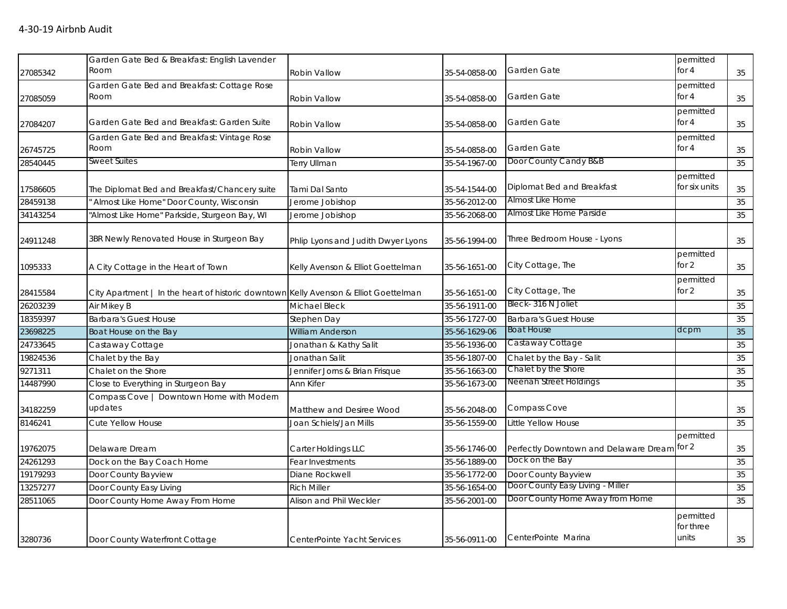|          | Garden Gate Bed & Breakfast: English Lavender                                        |                                    |               |                                             | permitted     |    |
|----------|--------------------------------------------------------------------------------------|------------------------------------|---------------|---------------------------------------------|---------------|----|
| 27085342 | Room                                                                                 | <b>Robin Vallow</b>                | 35-54-0858-00 | Garden Gate                                 | for 4         | 35 |
|          | Garden Gate Bed and Breakfast: Cottage Rose                                          |                                    |               |                                             | permitted     |    |
| 27085059 | Room                                                                                 | <b>Robin Vallow</b>                | 35-54-0858-00 | Garden Gate                                 | for 4         | 35 |
|          |                                                                                      |                                    |               |                                             | permitted     |    |
| 27084207 | Garden Gate Bed and Breakfast: Garden Suite                                          | Robin Vallow                       | 35-54-0858-00 | Garden Gate                                 | for 4         | 35 |
|          | Garden Gate Bed and Breakfast: Vintage Rose                                          |                                    |               |                                             | permitted     |    |
| 26745725 | Room                                                                                 | Robin Vallow                       | 35-54-0858-00 | Garden Gate                                 | for $4$       | 35 |
| 28540445 | <b>Sweet Suites</b>                                                                  | Terry Ullman                       | 35-54-1967-00 | Door County Candy B&B                       |               | 35 |
|          |                                                                                      |                                    |               |                                             | permitted     |    |
| 17586605 | The Diplomat Bed and Breakfast/Chancery suite                                        | Tami Dal Santo                     | 35-54-1544-00 | Diplomat Bed and Breakfast                  | for six units | 35 |
| 28459138 | Almost Like Home" Door County, Wisconsin                                             | Jerome Jobishop                    | 35-56-2012-00 | Almost Like Home                            |               | 35 |
| 34143254 | "Almost Like Home" Parkside, Sturgeon Bay, WI                                        | Jerome Jobishop                    | 35-56-2068-00 | Almost Like Home Parside                    |               | 35 |
|          |                                                                                      |                                    |               |                                             |               |    |
| 24911248 | 3BR Newly Renovated House in Sturgeon Bay                                            | Phlip Lyons and Judith Dwyer Lyons | 35-56-1994-00 | Three Bedroom House - Lyons                 |               | 35 |
|          |                                                                                      |                                    |               |                                             | permitted     |    |
| 1095333  | A City Cottage in the Heart of Town                                                  | Kelly Avenson & Elliot Goettelman  | 35-56-1651-00 | City Cottage, The                           | for 2         | 35 |
|          |                                                                                      |                                    |               |                                             | permitted     |    |
| 28415584 | City Apartment   In the heart of historic downtown Kelly Avenson & Elliot Goettelman |                                    | 35-56-1651-00 | City Cottage, The                           | for 2         | 35 |
| 26203239 | Air Mikey B                                                                          | Michael Bleck                      | 35-56-1911-00 | Bleck- 316 N Joliet                         |               | 35 |
| 18359397 | <b>Barbara's Guest House</b>                                                         | Stephen Day                        | 35-56-1727-00 | <b>Barbara's Guest House</b>                |               | 35 |
| 23698225 | Boat House on the Bay                                                                | <b>William Anderson</b>            | 35-56-1629-06 | <b>Boat House</b>                           | dcpm          | 35 |
| 24733645 | Castaway Cottage                                                                     | Jonathan & Kathy Salit             | 35-56-1936-00 | Castaway Cottage                            |               | 35 |
| 19824536 | Chalet by the Bay                                                                    | Jonathan Salit                     | 35-56-1807-00 | Chalet by the Bay - Salit                   |               | 35 |
| 9271311  | Chalet on the Shore                                                                  | Jennifer Jorns & Brian Frisque     | 35-56-1663-00 | Chalet by the Shore                         |               | 35 |
| 14487990 | Close to Everything in Sturgeon Bay                                                  | Ann Kifer                          | 35-56-1673-00 | Neenah Street Holdings                      |               | 35 |
|          | Compass Cove   Downtown Home with Modern                                             |                                    |               |                                             |               |    |
| 34182259 | updates                                                                              | Matthew and Desiree Wood           | 35-56-2048-00 | Compass Cove                                |               | 35 |
| 8146241  | Cute Yellow House                                                                    | Joan Schiels/Jan Mills             | 35-56-1559-00 | Little Yellow House                         |               | 35 |
|          |                                                                                      |                                    |               |                                             | permitted     |    |
| 19762075 | Delaware Dream                                                                       | Carter Holdings LLC                | 35-56-1746-00 | Perfectly Downtown and Delaware Dream for 2 |               | 35 |
| 24261293 | Dock on the Bay Coach Home                                                           | Fear Investments                   | 35-56-1889-00 | Dock on the Bay                             |               | 35 |
| 19179293 | Door County Bayview                                                                  | Diane Rockwell                     | 35-56-1772-00 | Door County Bayview                         |               | 35 |
| 13257277 | Door County Easy Living                                                              | <b>Rich Miller</b>                 | 35-56-1654-00 | Door County Easy Living - Miller            |               | 35 |
| 28511065 | Door County Home Away From Home                                                      | Alison and Phil Weckler            | 35-56-2001-00 | Door County Home Away from Home             |               | 35 |
|          |                                                                                      |                                    |               |                                             | permitted     |    |
|          |                                                                                      |                                    |               |                                             | for three     |    |
| 3280736  | Door County Waterfront Cottage                                                       | CenterPointe Yacht Services        | 35-56-0911-00 | CenterPointe Marina                         | units         | 35 |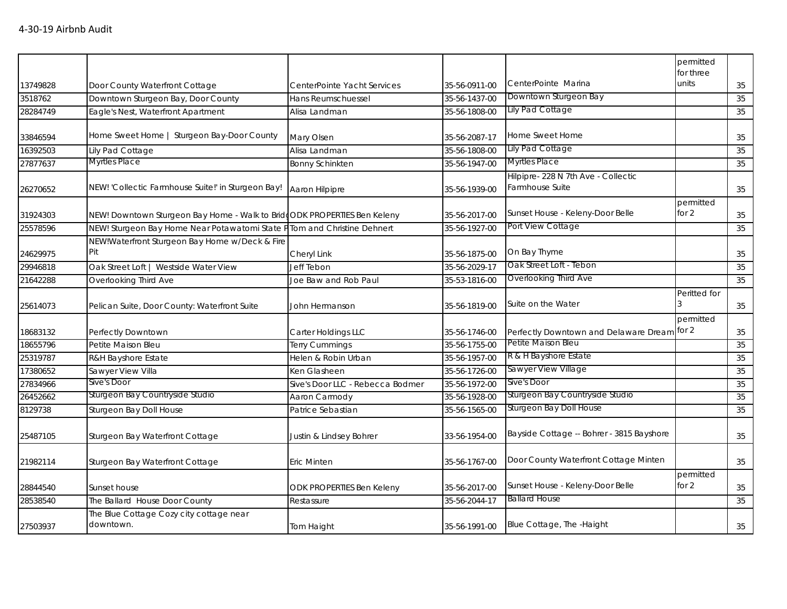|          |                                                                          |                                  |               |                                                       | permitted<br>for three |    |
|----------|--------------------------------------------------------------------------|----------------------------------|---------------|-------------------------------------------------------|------------------------|----|
| 13749828 | Door County Waterfront Cottage                                           | CenterPointe Yacht Services      | 35-56-0911-00 | CenterPointe Marina                                   | units                  | 35 |
| 3518762  | Downtown Sturgeon Bay, Door County                                       | Hans Reumschuessel               | 35-56-1437-00 | Downtown Sturgeon Bay                                 |                        | 35 |
| 28284749 | Eagle's Nest, Waterfront Apartment                                       | Alisa Landman                    | 35-56-1808-00 | Lily Pad Cottage                                      |                        | 35 |
|          |                                                                          |                                  |               |                                                       |                        |    |
| 33846594 | Home Sweet Home   Sturgeon Bay-Door County                               | Mary Olsen                       | 35-56-2087-17 | Home Sweet Home                                       |                        | 35 |
| 16392503 | Lily Pad Cottage                                                         | Alisa Landman                    | 35-56-1808-00 | Lily Pad Cottage                                      |                        | 35 |
| 27877637 | <b>Myrtles Place</b>                                                     | <b>Bonny Schinkten</b>           | 35-56-1947-00 | <b>Myrtles Place</b>                                  |                        | 35 |
| 26270652 | NEW! 'Collectic Farmhouse Suite!' in Sturgeon Bay!                       | Aaron Hilpipre                   | 35-56-1939-00 | Hilpipre-228 N 7th Ave - Collectic<br>Farmhouse Suite |                        | 35 |
| 31924303 | NEW! Downtown Sturgeon Bay Home - Walk to BridgODK PROPERTIES Ben Keleny |                                  | 35-56-2017-00 | Sunset House - Keleny-Door Belle                      | permitted<br>for $2$   | 35 |
| 25578596 | NEW! Sturgeon Bay Home Near Potawatomi State P                           | Tom and Christine Dehnert        | 35-56-1927-00 | Port View Cottage                                     |                        | 35 |
| 24629975 | NEW!Waterfront Sturgeon Bay Home w/Deck & Fire<br>Pit                    | Cheryl Link                      | 35-56-1875-00 | On Bay Thyme                                          |                        | 35 |
| 29946818 | Oak Street Loft   Westside Water View                                    | <b>Jeff Tebon</b>                | 35-56-2029-17 | Oak Street Loft - Tebon                               |                        | 35 |
| 21642288 | Overlooking Third Ave                                                    | Joe Baw and Rob Paul             | 35-53-1816-00 | Overlooking Third Ave                                 |                        | 35 |
| 25614073 | Pelican Suite, Door County: Waterfront Suite                             | John Hermanson                   | 35-56-1819-00 | Suite on the Water                                    | Peritted for           | 35 |
| 18683132 | Perfectly Downtown                                                       | Carter Holdings LLC              | 35-56-1746-00 | Perfectly Downtown and Delaware Dream for 2           | permitted              | 35 |
| 18655796 | Petite Maison Bleu                                                       | <b>Terry Cummings</b>            | 35-56-1755-00 | Petite Maison Bleu                                    |                        | 35 |
| 25319787 | R&H Bayshore Estate                                                      | Helen & Robin Urban              | 35-56-1957-00 | R & H Bayshore Estate                                 |                        | 35 |
| 17380652 | Sawyer View Villa                                                        | Ken Glasheen                     | 35-56-1726-00 | Sawyer View Village                                   |                        | 35 |
| 27834966 | Sive's Door                                                              | Sive's Door LLC - Rebecca Bodmer | 35-56-1972-00 | Sive's Door                                           |                        | 35 |
| 26452662 | Sturgeon Bay Countryside Studio                                          | Aaron Carmody                    | 35-56-1928-00 | Sturgeon Bay Countryside Studio                       |                        | 35 |
| 8129738  | Sturgeon Bay Doll House                                                  | Patrice Sebastian                | 35-56-1565-00 | Sturgeon Bay Doll House                               |                        | 35 |
| 25487105 | Sturgeon Bay Waterfront Cottage                                          | Justin & Lindsey Bohrer          | 33-56-1954-00 | Bayside Cottage -- Bohrer - 3815 Bayshore             |                        | 35 |
| 21982114 | Sturgeon Bay Waterfront Cottage                                          | Eric Minten                      | 35-56-1767-00 | Door County Waterfront Cottage Minten                 |                        | 35 |
| 28844540 | Sunset house                                                             | <b>ODK PROPERTIES Ben Keleny</b> | 35-56-2017-00 | Sunset House - Keleny-Door Belle                      | permitted<br>for $2$   | 35 |
| 28538540 | The Ballard House Door County                                            | Restassure                       | 35-56-2044-17 | <b>Ballard House</b>                                  |                        | 35 |
| 27503937 | The Blue Cottage Cozy city cottage near<br>downtown.                     | Tom Haight                       | 35-56-1991-00 | Blue Cottage, The -Haight                             |                        | 35 |
|          |                                                                          |                                  |               |                                                       |                        |    |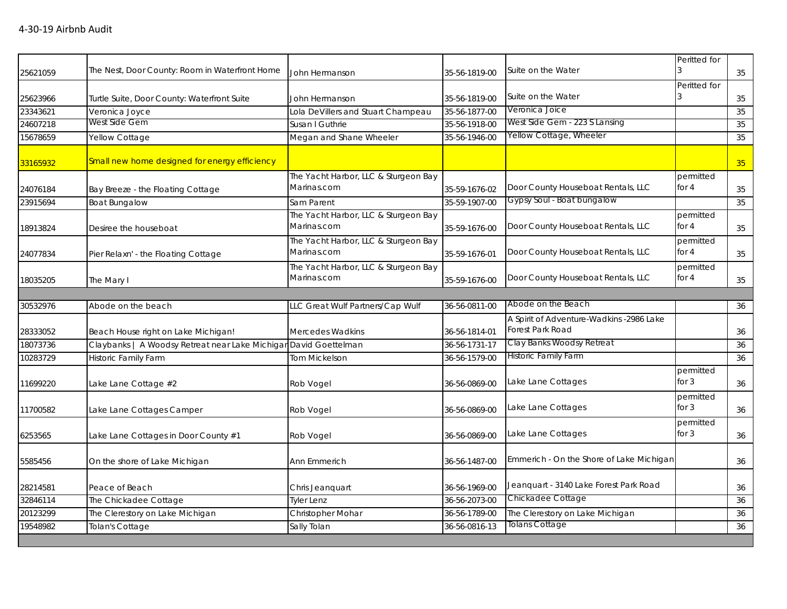|          |                                                                  |                                                     |               |                                                              | Peritted for         |    |
|----------|------------------------------------------------------------------|-----------------------------------------------------|---------------|--------------------------------------------------------------|----------------------|----|
| 25621059 | The Nest, Door County: Room in Waterfront Home                   | John Hermanson                                      | 35-56-1819-00 | Suite on the Water                                           |                      | 35 |
|          |                                                                  |                                                     |               |                                                              | Peritted for         |    |
| 25623966 | Turtle Suite, Door County: Waterfront Suite                      | John Hermanson                                      | 35-56-1819-00 | Suite on the Water                                           |                      | 35 |
| 23343621 | Veronica Joyce                                                   | Lola DeVillers and Stuart Champeau                  | 35-56-1877-00 | Veronica Joice                                               |                      | 35 |
| 24607218 | West Side Gem                                                    | Susan I Guthrie                                     | 35-56-1918-00 | West Side Gem - 223 S Lansing                                |                      | 35 |
| 15678659 | Yellow Cottage                                                   | Megan and Shane Wheeler                             | 35-56-1946-00 | Yellow Cottage, Wheeler                                      |                      | 35 |
| 33165932 | Small new home designed for energy efficiency                    |                                                     |               |                                                              |                      | 35 |
|          |                                                                  | The Yacht Harbor, LLC & Sturgeon Bay                |               |                                                              | permitted            |    |
| 24076184 | Bay Breeze - the Floating Cottage                                | Marinas.com                                         | 35-59-1676-02 | Door County Houseboat Rentals, LLC                           | for 4                | 35 |
| 23915694 | <b>Boat Bungalow</b>                                             | Sam Parent                                          | 35-59-1907-00 | Gypsy Soul - Boat bungalow                                   |                      | 35 |
| 18913824 | Desiree the houseboat                                            | The Yacht Harbor, LLC & Sturgeon Bay<br>Marinas.com | 35-59-1676-00 | Door County Houseboat Rentals, LLC                           | permitted<br>for 4   | 35 |
| 24077834 | Pier Relaxn' - the Floating Cottage                              | The Yacht Harbor, LLC & Sturgeon Bay<br>Marinas.com | 35-59-1676-01 | Door County Houseboat Rentals, LLC                           | permitted<br>for 4   | 35 |
| 18035205 | The Mary I                                                       | The Yacht Harbor, LLC & Sturgeon Bay<br>Marinas.com | 35-59-1676-00 | Door County Houseboat Rentals, LLC                           | permitted<br>for $4$ | 35 |
|          |                                                                  |                                                     |               |                                                              |                      |    |
| 30532976 | Abode on the beach                                               | LLC Great Wulf Partners/Cap Wulf                    | 36-56-0811-00 | Abode on the Beach                                           |                      | 36 |
| 28333052 | Beach House right on Lake Michigan!                              | <b>Mercedes Wadkins</b>                             | 36-56-1814-01 | A Spirit of Adventure-Wadkins -2986 Lake<br>Forest Park Road |                      | 36 |
| 18073736 | Claybanks   A Woodsy Retreat near Lake Michigar David Goettelman |                                                     | 36-56-1731-17 | Clay Banks Woodsy Retreat                                    |                      | 36 |
| 10283729 | Historic Family Farm                                             | <b>Tom Mickelson</b>                                | 36-56-1579-00 | <b>Historic Family Farm</b>                                  |                      | 36 |
| 11699220 | Lake Lane Cottage #2                                             | Rob Vogel                                           | 36-56-0869-00 | Lake Lane Cottages                                           | permitted<br>for $3$ | 36 |
| 11700582 | Lake Lane Cottages Camper                                        | Rob Vogel                                           | 36-56-0869-00 | Lake Lane Cottages                                           | permitted<br>for $3$ | 36 |
| 6253565  | Lake Lane Cottages in Door County #1                             | Rob Vogel                                           | 36-56-0869-00 | Lake Lane Cottages                                           | permitted<br>for $3$ | 36 |
| 5585456  | On the shore of Lake Michigan                                    | Ann Emmerich                                        | 36-56-1487-00 | Emmerich - On the Shore of Lake Michigan                     |                      | 36 |
| 28214581 | Peace of Beach                                                   | Chris Jeanquart                                     | 36-56-1969-00 | Jeanquart - 3140 Lake Forest Park Road                       |                      | 36 |
| 32846114 | The Chickadee Cottage                                            | <b>Tyler Lenz</b>                                   | 36-56-2073-00 | Chickadee Cottage                                            |                      | 36 |
| 20123299 | The Clerestory on Lake Michigan                                  | Christopher Mohar                                   | 36-56-1789-00 | The Clerestory on Lake Michigan                              |                      | 36 |
| 19548982 | Tolan's Cottage                                                  | Sally Tolan                                         | 36-56-0816-13 | Tolans Cottage                                               |                      | 36 |
|          |                                                                  |                                                     |               |                                                              |                      |    |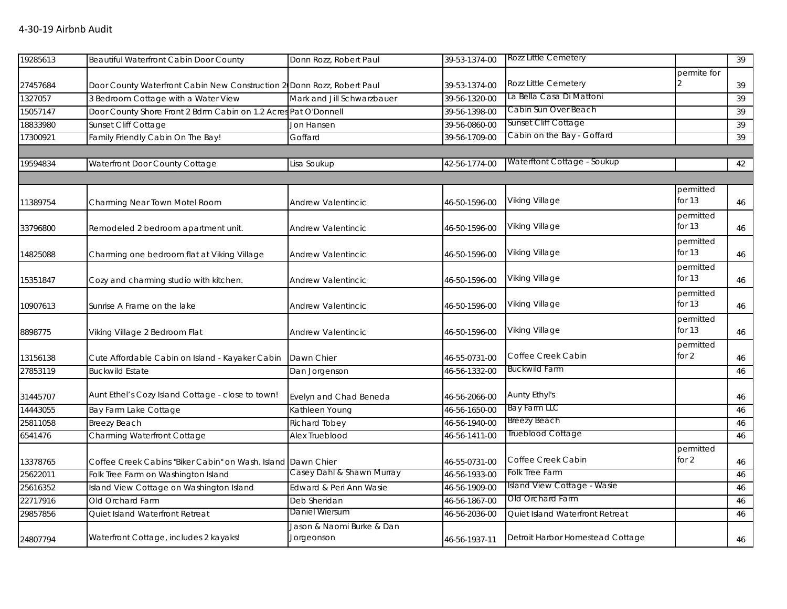| permite for<br>Rozz Little Cemetery<br>39<br>39-53-1374-00<br>27457684<br>Door County Waterfront Cabin New Construction 2 Donn Rozz, Robert Paul<br>La Bella Casa Di Mattoni<br>3 Bedroom Cottage with a Water View<br>1327057<br>Mark and Jill Schwarzbauer<br>39-56-1320-00<br>39<br>Cabin Sun Over Beach<br>Door County Shore Front 2 Bdrm Cabin on 1.2 Acres Pat O'Donnell<br>15057147<br>39-56-1398-00<br>39<br>Sunset Cliff Cottage<br>Sunset Cliff Cottage<br>18833980<br>Jon Hansen<br>39-56-0860-00<br>39<br>Cabin on the Bay - Goffard<br>Family Friendly Cabin On The Bay!<br>17300921<br>Goffard<br>39-56-1709-00<br>39<br>Waterftont Cottage - Soukup<br>42-56-1774-00<br>Waterfront Door County Cottage<br>42<br>19594834<br>Lisa Soukup<br>permitted<br>Viking Village<br>for 13<br>11389754<br>Charming Near Town Motel Room<br>46-50-1596-00<br><b>Andrew Valentincic</b><br>46<br>permitted<br>for 13<br>Viking Village<br>Remodeled 2 bedroom apartment unit.<br>46-50-1596-00<br><b>Andrew Valentincic</b><br>46<br>permitted<br>for 13<br>Viking Village<br>14825088<br>Charming one bedroom flat at Viking Village<br>Andrew Valentincic<br>46-50-1596-00<br>46<br>permitted<br>for 13<br>Viking Village<br>Cozy and charming studio with kitchen.<br>15351847<br><b>Andrew Valentincic</b><br>46-50-1596-00<br>46<br>permitted<br>for 13<br>Viking Village<br>10907613<br>Sunrise A Frame on the lake<br><b>Andrew Valentincic</b><br>46-50-1596-00<br>46<br>permitted<br>for 13<br><b>Viking Village</b><br>Viking Village 2 Bedroom Flat<br>8898775<br><b>Andrew Valentincic</b><br>46-50-1596-00<br>46<br>permitted<br>Coffee Creek Cabin<br>for 2<br>Dawn Chier<br>46-55-0731-00<br>13156138<br>Cute Affordable Cabin on Island - Kayaker Cabin<br>46<br><b>Buckwild Farm</b><br>27853119<br><b>Buckwild Estate</b><br>46-56-1332-00<br>Dan Jorgenson<br>46<br>Aunt Ethel's Cozy Island Cottage - close to town!<br>Aunty Ethyl's<br>Evelyn and Chad Beneda<br>46-56-2066-00<br>31445707<br>46<br>Bay Farm LLC<br>14443055<br>Bay Farm Lake Cottage<br>Kathleen Young<br>46-56-1650-00<br>46<br><b>Breezy Beach</b><br><b>Breezy Beach</b><br><b>Richard Tobey</b><br>46-56-1940-00<br>25811058<br>46<br>Trueblood Cottage<br>6541476<br>Charming Waterfront Cottage<br>46-56-1411-00<br>Alex Trueblood<br>46<br>permitted<br>Coffee Creek Cabin<br>for 2<br>13378765<br>Coffee Creek Cabins "Biker Cabin" on Wash. Island Dawn Chier<br>46-55-0731-00<br>$46\,$<br>Casey Dahl & Shawn Murray<br>Folk Tree Farm<br>Folk Tree Farm on Washington Island<br>46-56-1933-00<br>46<br>Island View Cottage - Wasie<br>Island View Cottage on Washington Island<br>Edward & Peri Ann Wasie<br>46-56-1909-00<br>46<br>Old Orchard Farm<br>Old Orchard Farm<br>Deb Sheridan<br>46-56-1867-00<br>46<br>Daniel Wiersum<br>Quiet Island Waterfront Retreat<br>46-56-2036-00<br>Quiet Island Waterfront Retreat<br>46<br>Jason & Naomi Burke & Dan<br>Waterfront Cottage, includes 2 kayaks!<br>Jorgeonson<br>Detroit Harbor Homestead Cottage<br>46-56-1937-11<br>46 | 19285613 | <b>Beautiful Waterfront Cabin Door County</b> | Donn Rozz, Robert Paul | 39-53-1374-00 | Rozz Little Cemetery | 39 |
|-------------------------------------------------------------------------------------------------------------------------------------------------------------------------------------------------------------------------------------------------------------------------------------------------------------------------------------------------------------------------------------------------------------------------------------------------------------------------------------------------------------------------------------------------------------------------------------------------------------------------------------------------------------------------------------------------------------------------------------------------------------------------------------------------------------------------------------------------------------------------------------------------------------------------------------------------------------------------------------------------------------------------------------------------------------------------------------------------------------------------------------------------------------------------------------------------------------------------------------------------------------------------------------------------------------------------------------------------------------------------------------------------------------------------------------------------------------------------------------------------------------------------------------------------------------------------------------------------------------------------------------------------------------------------------------------------------------------------------------------------------------------------------------------------------------------------------------------------------------------------------------------------------------------------------------------------------------------------------------------------------------------------------------------------------------------------------------------------------------------------------------------------------------------------------------------------------------------------------------------------------------------------------------------------------------------------------------------------------------------------------------------------------------------------------------------------------------------------------------------------------------------------------------------------------------------------------------------------------------------------------------------------------------------------------------------------------------------------------------------------------------------------------------------------------------------------------------------------------------------------------------------------------------------------------------------------------------------------------------------------------------------------------------------------------------------------------------|----------|-----------------------------------------------|------------------------|---------------|----------------------|----|
|                                                                                                                                                                                                                                                                                                                                                                                                                                                                                                                                                                                                                                                                                                                                                                                                                                                                                                                                                                                                                                                                                                                                                                                                                                                                                                                                                                                                                                                                                                                                                                                                                                                                                                                                                                                                                                                                                                                                                                                                                                                                                                                                                                                                                                                                                                                                                                                                                                                                                                                                                                                                                                                                                                                                                                                                                                                                                                                                                                                                                                                                                     |          |                                               |                        |               |                      |    |
|                                                                                                                                                                                                                                                                                                                                                                                                                                                                                                                                                                                                                                                                                                                                                                                                                                                                                                                                                                                                                                                                                                                                                                                                                                                                                                                                                                                                                                                                                                                                                                                                                                                                                                                                                                                                                                                                                                                                                                                                                                                                                                                                                                                                                                                                                                                                                                                                                                                                                                                                                                                                                                                                                                                                                                                                                                                                                                                                                                                                                                                                                     |          |                                               |                        |               |                      |    |
|                                                                                                                                                                                                                                                                                                                                                                                                                                                                                                                                                                                                                                                                                                                                                                                                                                                                                                                                                                                                                                                                                                                                                                                                                                                                                                                                                                                                                                                                                                                                                                                                                                                                                                                                                                                                                                                                                                                                                                                                                                                                                                                                                                                                                                                                                                                                                                                                                                                                                                                                                                                                                                                                                                                                                                                                                                                                                                                                                                                                                                                                                     |          |                                               |                        |               |                      |    |
|                                                                                                                                                                                                                                                                                                                                                                                                                                                                                                                                                                                                                                                                                                                                                                                                                                                                                                                                                                                                                                                                                                                                                                                                                                                                                                                                                                                                                                                                                                                                                                                                                                                                                                                                                                                                                                                                                                                                                                                                                                                                                                                                                                                                                                                                                                                                                                                                                                                                                                                                                                                                                                                                                                                                                                                                                                                                                                                                                                                                                                                                                     |          |                                               |                        |               |                      |    |
|                                                                                                                                                                                                                                                                                                                                                                                                                                                                                                                                                                                                                                                                                                                                                                                                                                                                                                                                                                                                                                                                                                                                                                                                                                                                                                                                                                                                                                                                                                                                                                                                                                                                                                                                                                                                                                                                                                                                                                                                                                                                                                                                                                                                                                                                                                                                                                                                                                                                                                                                                                                                                                                                                                                                                                                                                                                                                                                                                                                                                                                                                     |          |                                               |                        |               |                      |    |
|                                                                                                                                                                                                                                                                                                                                                                                                                                                                                                                                                                                                                                                                                                                                                                                                                                                                                                                                                                                                                                                                                                                                                                                                                                                                                                                                                                                                                                                                                                                                                                                                                                                                                                                                                                                                                                                                                                                                                                                                                                                                                                                                                                                                                                                                                                                                                                                                                                                                                                                                                                                                                                                                                                                                                                                                                                                                                                                                                                                                                                                                                     |          |                                               |                        |               |                      |    |
|                                                                                                                                                                                                                                                                                                                                                                                                                                                                                                                                                                                                                                                                                                                                                                                                                                                                                                                                                                                                                                                                                                                                                                                                                                                                                                                                                                                                                                                                                                                                                                                                                                                                                                                                                                                                                                                                                                                                                                                                                                                                                                                                                                                                                                                                                                                                                                                                                                                                                                                                                                                                                                                                                                                                                                                                                                                                                                                                                                                                                                                                                     |          |                                               |                        |               |                      |    |
|                                                                                                                                                                                                                                                                                                                                                                                                                                                                                                                                                                                                                                                                                                                                                                                                                                                                                                                                                                                                                                                                                                                                                                                                                                                                                                                                                                                                                                                                                                                                                                                                                                                                                                                                                                                                                                                                                                                                                                                                                                                                                                                                                                                                                                                                                                                                                                                                                                                                                                                                                                                                                                                                                                                                                                                                                                                                                                                                                                                                                                                                                     |          |                                               |                        |               |                      |    |
|                                                                                                                                                                                                                                                                                                                                                                                                                                                                                                                                                                                                                                                                                                                                                                                                                                                                                                                                                                                                                                                                                                                                                                                                                                                                                                                                                                                                                                                                                                                                                                                                                                                                                                                                                                                                                                                                                                                                                                                                                                                                                                                                                                                                                                                                                                                                                                                                                                                                                                                                                                                                                                                                                                                                                                                                                                                                                                                                                                                                                                                                                     |          |                                               |                        |               |                      |    |
|                                                                                                                                                                                                                                                                                                                                                                                                                                                                                                                                                                                                                                                                                                                                                                                                                                                                                                                                                                                                                                                                                                                                                                                                                                                                                                                                                                                                                                                                                                                                                                                                                                                                                                                                                                                                                                                                                                                                                                                                                                                                                                                                                                                                                                                                                                                                                                                                                                                                                                                                                                                                                                                                                                                                                                                                                                                                                                                                                                                                                                                                                     |          |                                               |                        |               |                      |    |
|                                                                                                                                                                                                                                                                                                                                                                                                                                                                                                                                                                                                                                                                                                                                                                                                                                                                                                                                                                                                                                                                                                                                                                                                                                                                                                                                                                                                                                                                                                                                                                                                                                                                                                                                                                                                                                                                                                                                                                                                                                                                                                                                                                                                                                                                                                                                                                                                                                                                                                                                                                                                                                                                                                                                                                                                                                                                                                                                                                                                                                                                                     |          |                                               |                        |               |                      |    |
|                                                                                                                                                                                                                                                                                                                                                                                                                                                                                                                                                                                                                                                                                                                                                                                                                                                                                                                                                                                                                                                                                                                                                                                                                                                                                                                                                                                                                                                                                                                                                                                                                                                                                                                                                                                                                                                                                                                                                                                                                                                                                                                                                                                                                                                                                                                                                                                                                                                                                                                                                                                                                                                                                                                                                                                                                                                                                                                                                                                                                                                                                     |          |                                               |                        |               |                      |    |
|                                                                                                                                                                                                                                                                                                                                                                                                                                                                                                                                                                                                                                                                                                                                                                                                                                                                                                                                                                                                                                                                                                                                                                                                                                                                                                                                                                                                                                                                                                                                                                                                                                                                                                                                                                                                                                                                                                                                                                                                                                                                                                                                                                                                                                                                                                                                                                                                                                                                                                                                                                                                                                                                                                                                                                                                                                                                                                                                                                                                                                                                                     | 33796800 |                                               |                        |               |                      |    |
|                                                                                                                                                                                                                                                                                                                                                                                                                                                                                                                                                                                                                                                                                                                                                                                                                                                                                                                                                                                                                                                                                                                                                                                                                                                                                                                                                                                                                                                                                                                                                                                                                                                                                                                                                                                                                                                                                                                                                                                                                                                                                                                                                                                                                                                                                                                                                                                                                                                                                                                                                                                                                                                                                                                                                                                                                                                                                                                                                                                                                                                                                     |          |                                               |                        |               |                      |    |
|                                                                                                                                                                                                                                                                                                                                                                                                                                                                                                                                                                                                                                                                                                                                                                                                                                                                                                                                                                                                                                                                                                                                                                                                                                                                                                                                                                                                                                                                                                                                                                                                                                                                                                                                                                                                                                                                                                                                                                                                                                                                                                                                                                                                                                                                                                                                                                                                                                                                                                                                                                                                                                                                                                                                                                                                                                                                                                                                                                                                                                                                                     |          |                                               |                        |               |                      |    |
|                                                                                                                                                                                                                                                                                                                                                                                                                                                                                                                                                                                                                                                                                                                                                                                                                                                                                                                                                                                                                                                                                                                                                                                                                                                                                                                                                                                                                                                                                                                                                                                                                                                                                                                                                                                                                                                                                                                                                                                                                                                                                                                                                                                                                                                                                                                                                                                                                                                                                                                                                                                                                                                                                                                                                                                                                                                                                                                                                                                                                                                                                     |          |                                               |                        |               |                      |    |
|                                                                                                                                                                                                                                                                                                                                                                                                                                                                                                                                                                                                                                                                                                                                                                                                                                                                                                                                                                                                                                                                                                                                                                                                                                                                                                                                                                                                                                                                                                                                                                                                                                                                                                                                                                                                                                                                                                                                                                                                                                                                                                                                                                                                                                                                                                                                                                                                                                                                                                                                                                                                                                                                                                                                                                                                                                                                                                                                                                                                                                                                                     |          |                                               |                        |               |                      |    |
|                                                                                                                                                                                                                                                                                                                                                                                                                                                                                                                                                                                                                                                                                                                                                                                                                                                                                                                                                                                                                                                                                                                                                                                                                                                                                                                                                                                                                                                                                                                                                                                                                                                                                                                                                                                                                                                                                                                                                                                                                                                                                                                                                                                                                                                                                                                                                                                                                                                                                                                                                                                                                                                                                                                                                                                                                                                                                                                                                                                                                                                                                     |          |                                               |                        |               |                      |    |
|                                                                                                                                                                                                                                                                                                                                                                                                                                                                                                                                                                                                                                                                                                                                                                                                                                                                                                                                                                                                                                                                                                                                                                                                                                                                                                                                                                                                                                                                                                                                                                                                                                                                                                                                                                                                                                                                                                                                                                                                                                                                                                                                                                                                                                                                                                                                                                                                                                                                                                                                                                                                                                                                                                                                                                                                                                                                                                                                                                                                                                                                                     |          |                                               |                        |               |                      |    |
|                                                                                                                                                                                                                                                                                                                                                                                                                                                                                                                                                                                                                                                                                                                                                                                                                                                                                                                                                                                                                                                                                                                                                                                                                                                                                                                                                                                                                                                                                                                                                                                                                                                                                                                                                                                                                                                                                                                                                                                                                                                                                                                                                                                                                                                                                                                                                                                                                                                                                                                                                                                                                                                                                                                                                                                                                                                                                                                                                                                                                                                                                     |          |                                               |                        |               |                      |    |
|                                                                                                                                                                                                                                                                                                                                                                                                                                                                                                                                                                                                                                                                                                                                                                                                                                                                                                                                                                                                                                                                                                                                                                                                                                                                                                                                                                                                                                                                                                                                                                                                                                                                                                                                                                                                                                                                                                                                                                                                                                                                                                                                                                                                                                                                                                                                                                                                                                                                                                                                                                                                                                                                                                                                                                                                                                                                                                                                                                                                                                                                                     |          |                                               |                        |               |                      |    |
|                                                                                                                                                                                                                                                                                                                                                                                                                                                                                                                                                                                                                                                                                                                                                                                                                                                                                                                                                                                                                                                                                                                                                                                                                                                                                                                                                                                                                                                                                                                                                                                                                                                                                                                                                                                                                                                                                                                                                                                                                                                                                                                                                                                                                                                                                                                                                                                                                                                                                                                                                                                                                                                                                                                                                                                                                                                                                                                                                                                                                                                                                     |          |                                               |                        |               |                      |    |
|                                                                                                                                                                                                                                                                                                                                                                                                                                                                                                                                                                                                                                                                                                                                                                                                                                                                                                                                                                                                                                                                                                                                                                                                                                                                                                                                                                                                                                                                                                                                                                                                                                                                                                                                                                                                                                                                                                                                                                                                                                                                                                                                                                                                                                                                                                                                                                                                                                                                                                                                                                                                                                                                                                                                                                                                                                                                                                                                                                                                                                                                                     |          |                                               |                        |               |                      |    |
|                                                                                                                                                                                                                                                                                                                                                                                                                                                                                                                                                                                                                                                                                                                                                                                                                                                                                                                                                                                                                                                                                                                                                                                                                                                                                                                                                                                                                                                                                                                                                                                                                                                                                                                                                                                                                                                                                                                                                                                                                                                                                                                                                                                                                                                                                                                                                                                                                                                                                                                                                                                                                                                                                                                                                                                                                                                                                                                                                                                                                                                                                     |          |                                               |                        |               |                      |    |
|                                                                                                                                                                                                                                                                                                                                                                                                                                                                                                                                                                                                                                                                                                                                                                                                                                                                                                                                                                                                                                                                                                                                                                                                                                                                                                                                                                                                                                                                                                                                                                                                                                                                                                                                                                                                                                                                                                                                                                                                                                                                                                                                                                                                                                                                                                                                                                                                                                                                                                                                                                                                                                                                                                                                                                                                                                                                                                                                                                                                                                                                                     |          |                                               |                        |               |                      |    |
|                                                                                                                                                                                                                                                                                                                                                                                                                                                                                                                                                                                                                                                                                                                                                                                                                                                                                                                                                                                                                                                                                                                                                                                                                                                                                                                                                                                                                                                                                                                                                                                                                                                                                                                                                                                                                                                                                                                                                                                                                                                                                                                                                                                                                                                                                                                                                                                                                                                                                                                                                                                                                                                                                                                                                                                                                                                                                                                                                                                                                                                                                     |          |                                               |                        |               |                      |    |
|                                                                                                                                                                                                                                                                                                                                                                                                                                                                                                                                                                                                                                                                                                                                                                                                                                                                                                                                                                                                                                                                                                                                                                                                                                                                                                                                                                                                                                                                                                                                                                                                                                                                                                                                                                                                                                                                                                                                                                                                                                                                                                                                                                                                                                                                                                                                                                                                                                                                                                                                                                                                                                                                                                                                                                                                                                                                                                                                                                                                                                                                                     |          |                                               |                        |               |                      |    |
|                                                                                                                                                                                                                                                                                                                                                                                                                                                                                                                                                                                                                                                                                                                                                                                                                                                                                                                                                                                                                                                                                                                                                                                                                                                                                                                                                                                                                                                                                                                                                                                                                                                                                                                                                                                                                                                                                                                                                                                                                                                                                                                                                                                                                                                                                                                                                                                                                                                                                                                                                                                                                                                                                                                                                                                                                                                                                                                                                                                                                                                                                     |          |                                               |                        |               |                      |    |
|                                                                                                                                                                                                                                                                                                                                                                                                                                                                                                                                                                                                                                                                                                                                                                                                                                                                                                                                                                                                                                                                                                                                                                                                                                                                                                                                                                                                                                                                                                                                                                                                                                                                                                                                                                                                                                                                                                                                                                                                                                                                                                                                                                                                                                                                                                                                                                                                                                                                                                                                                                                                                                                                                                                                                                                                                                                                                                                                                                                                                                                                                     |          |                                               |                        |               |                      |    |
|                                                                                                                                                                                                                                                                                                                                                                                                                                                                                                                                                                                                                                                                                                                                                                                                                                                                                                                                                                                                                                                                                                                                                                                                                                                                                                                                                                                                                                                                                                                                                                                                                                                                                                                                                                                                                                                                                                                                                                                                                                                                                                                                                                                                                                                                                                                                                                                                                                                                                                                                                                                                                                                                                                                                                                                                                                                                                                                                                                                                                                                                                     |          |                                               |                        |               |                      |    |
|                                                                                                                                                                                                                                                                                                                                                                                                                                                                                                                                                                                                                                                                                                                                                                                                                                                                                                                                                                                                                                                                                                                                                                                                                                                                                                                                                                                                                                                                                                                                                                                                                                                                                                                                                                                                                                                                                                                                                                                                                                                                                                                                                                                                                                                                                                                                                                                                                                                                                                                                                                                                                                                                                                                                                                                                                                                                                                                                                                                                                                                                                     | 25622011 |                                               |                        |               |                      |    |
|                                                                                                                                                                                                                                                                                                                                                                                                                                                                                                                                                                                                                                                                                                                                                                                                                                                                                                                                                                                                                                                                                                                                                                                                                                                                                                                                                                                                                                                                                                                                                                                                                                                                                                                                                                                                                                                                                                                                                                                                                                                                                                                                                                                                                                                                                                                                                                                                                                                                                                                                                                                                                                                                                                                                                                                                                                                                                                                                                                                                                                                                                     | 25616352 |                                               |                        |               |                      |    |
|                                                                                                                                                                                                                                                                                                                                                                                                                                                                                                                                                                                                                                                                                                                                                                                                                                                                                                                                                                                                                                                                                                                                                                                                                                                                                                                                                                                                                                                                                                                                                                                                                                                                                                                                                                                                                                                                                                                                                                                                                                                                                                                                                                                                                                                                                                                                                                                                                                                                                                                                                                                                                                                                                                                                                                                                                                                                                                                                                                                                                                                                                     | 22717916 |                                               |                        |               |                      |    |
|                                                                                                                                                                                                                                                                                                                                                                                                                                                                                                                                                                                                                                                                                                                                                                                                                                                                                                                                                                                                                                                                                                                                                                                                                                                                                                                                                                                                                                                                                                                                                                                                                                                                                                                                                                                                                                                                                                                                                                                                                                                                                                                                                                                                                                                                                                                                                                                                                                                                                                                                                                                                                                                                                                                                                                                                                                                                                                                                                                                                                                                                                     | 29857856 |                                               |                        |               |                      |    |
|                                                                                                                                                                                                                                                                                                                                                                                                                                                                                                                                                                                                                                                                                                                                                                                                                                                                                                                                                                                                                                                                                                                                                                                                                                                                                                                                                                                                                                                                                                                                                                                                                                                                                                                                                                                                                                                                                                                                                                                                                                                                                                                                                                                                                                                                                                                                                                                                                                                                                                                                                                                                                                                                                                                                                                                                                                                                                                                                                                                                                                                                                     |          |                                               |                        |               |                      |    |
|                                                                                                                                                                                                                                                                                                                                                                                                                                                                                                                                                                                                                                                                                                                                                                                                                                                                                                                                                                                                                                                                                                                                                                                                                                                                                                                                                                                                                                                                                                                                                                                                                                                                                                                                                                                                                                                                                                                                                                                                                                                                                                                                                                                                                                                                                                                                                                                                                                                                                                                                                                                                                                                                                                                                                                                                                                                                                                                                                                                                                                                                                     | 24807794 |                                               |                        |               |                      |    |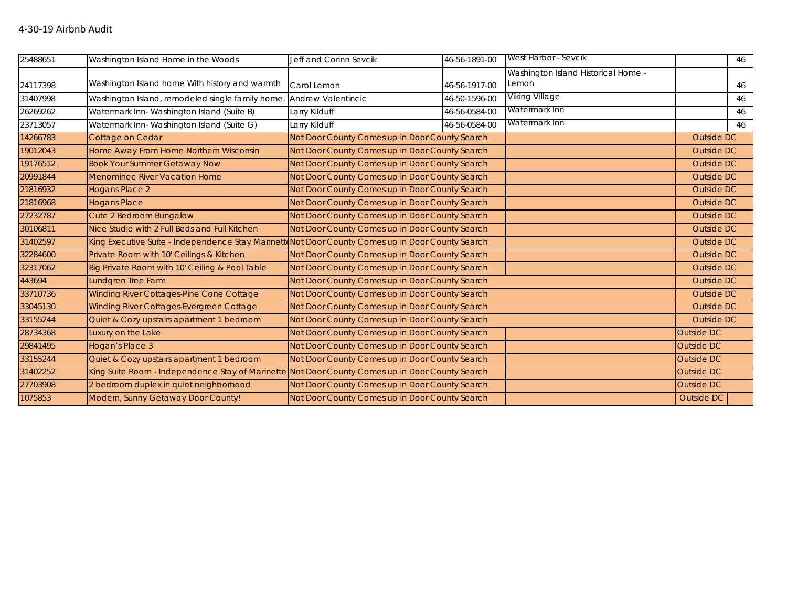| 25488651 | Washington Island Home in the Woods                                                              | Jeff and Corinn Sevcik                         | 46-56-1891-00                                  | West Harbor - Sevcik                         |                   | 46         |  |
|----------|--------------------------------------------------------------------------------------------------|------------------------------------------------|------------------------------------------------|----------------------------------------------|-------------------|------------|--|
| 24117398 | Washington Island home With history and warmth                                                   | Carol Lemon                                    | 46-56-1917-00                                  | Washington Island Historical Home -<br>Lemon |                   | 46         |  |
| 31407998 | Washington Island, remodeled single family home                                                  | Andrew Valentincic                             | 46-50-1596-00                                  | Viking Village                               |                   | 46         |  |
| 26269262 | Watermark Inn-Washington Island (Suite B)                                                        | Larry Kilduff                                  | 46-56-0584-00                                  | Watermark Inn                                |                   | 46         |  |
| 23713057 | Watermark Inn-Washington Island (Suite G)                                                        | Larry Kilduff                                  | 46-56-0584-00                                  | Watermark Inn                                |                   | 46         |  |
| 14266783 | Cottage on Cedar                                                                                 | Not Door County Comes up in Door County Search |                                                |                                              | Outside DC        |            |  |
| 19012043 | Home Away From Home Northern Wisconsin                                                           | Not Door County Comes up in Door County Search |                                                |                                              | Outside DC        |            |  |
| 19176512 | <b>Book Your Summer Getaway Now</b>                                                              | Not Door County Comes up in Door County Search |                                                |                                              | Outside DC        |            |  |
| 20991844 | Menominee River Vacation Home                                                                    | Not Door County Comes up in Door County Search |                                                |                                              | Outside DC        |            |  |
| 21816932 | Hogans Place 2                                                                                   | Not Door County Comes up in Door County Search |                                                |                                              | Outside DC        |            |  |
| 21816968 | <b>Hogans Place</b>                                                                              |                                                | Not Door County Comes up in Door County Search |                                              |                   | Outside DC |  |
| 27232787 | Cute 2 Bedroom Bungalow                                                                          | Not Door County Comes up in Door County Search |                                                |                                              | Outside DC        |            |  |
| 30106811 | Nice Studio with 2 Full Beds and Full Kitchen                                                    | Not Door County Comes up in Door County Search |                                                |                                              | Outside DC        |            |  |
| 31402597 | King Executive Suite - Independence Stay Marinett Not Door County Comes up in Door County Search |                                                |                                                |                                              | Outside DC        |            |  |
| 32284600 | Private Room with 10' Ceilings & Kitchen                                                         | Not Door County Comes up in Door County Search |                                                |                                              | Outside DC        |            |  |
| 32317062 | Big Private Room with 10' Ceiling & Pool Table                                                   | Not Door County Comes up in Door County Search |                                                |                                              | <b>Outside DC</b> |            |  |
| 443694   | Lundgren Tree Farm                                                                               | Not Door County Comes up in Door County Search |                                                |                                              | Outside DC        |            |  |
| 33710736 | Winding River Cottages-Pine Cone Cottage                                                         | Not Door County Comes up in Door County Search |                                                |                                              | Outside DC        |            |  |
| 33045130 | Winding River Cottages-Evergreen Cottage                                                         | Not Door County Comes up in Door County Search |                                                |                                              | Outside DC        |            |  |
| 33155244 | Quiet & Cozy upstairs apartment 1 bedroom                                                        | Not Door County Comes up in Door County Search |                                                |                                              | Outside DC        |            |  |
| 28734368 | Luxury on the Lake                                                                               | Not Door County Comes up in Door County Search |                                                |                                              | Outside DC        |            |  |
| 29841495 | Hogan's Place 3                                                                                  | Not Door County Comes up in Door County Search |                                                |                                              | Outside DC        |            |  |
| 33155244 | Quiet & Cozy upstairs apartment 1 bedroom                                                        | Not Door County Comes up in Door County Search |                                                |                                              | Outside DC        |            |  |
| 31402252 | King Suite Room - Independence Stay of Marinette Not Door County Comes up in Door County Search  |                                                |                                                |                                              | Outside DC        |            |  |
| 27703908 | 2 bedroom duplex in quiet neighborhood                                                           | Not Door County Comes up in Door County Search |                                                |                                              | <b>Outside DC</b> |            |  |
| 1075853  | Modern, Sunny Getaway Door County!                                                               | Not Door County Comes up in Door County Search |                                                |                                              | Outside DC        |            |  |